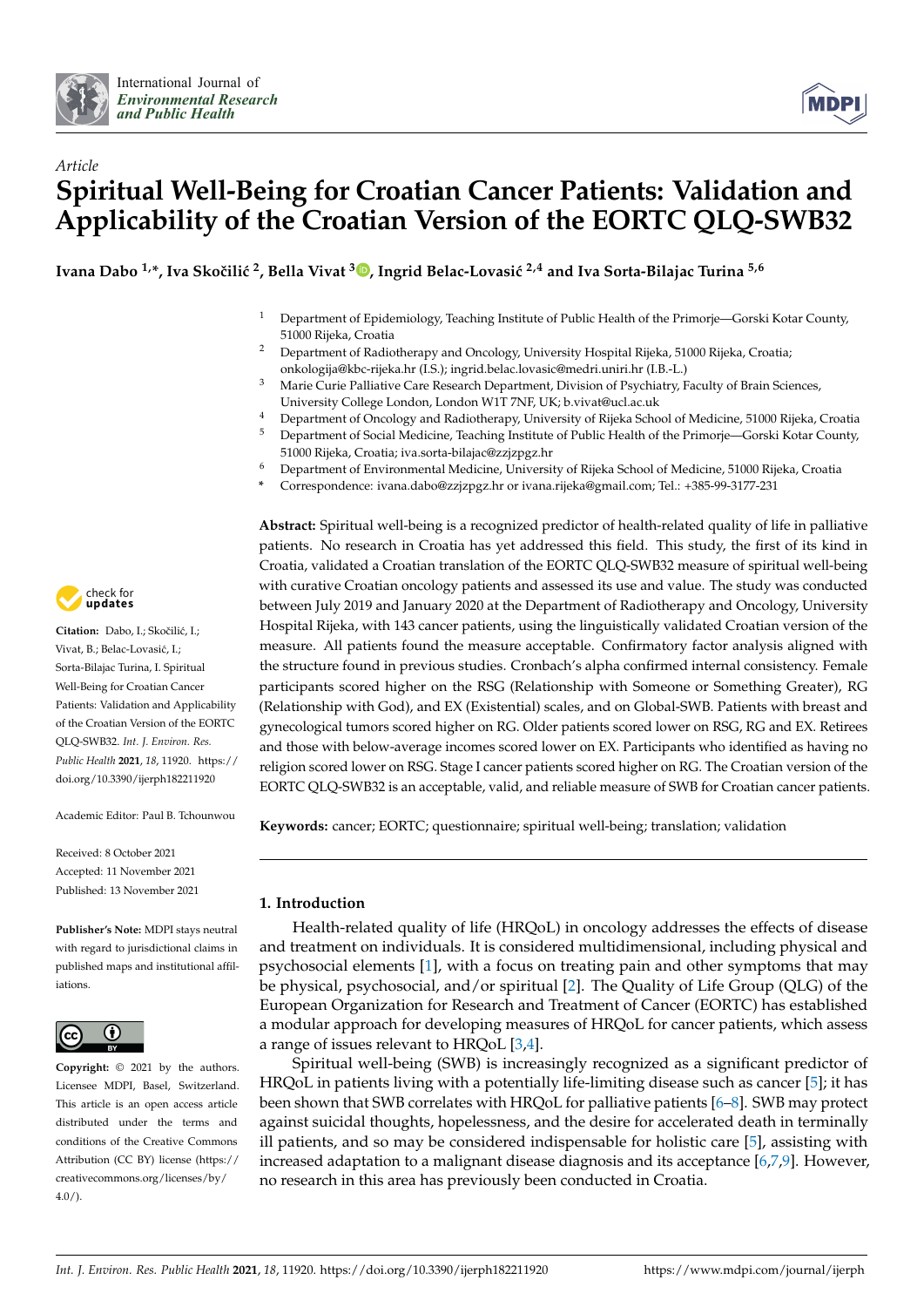



# *Article* **Spiritual Well-Being for Croatian Cancer Patients: Validation and Applicability of the Croatian Version of the EORTC QLQ-SWB32**

**Ivana Dabo 1,\*, Iva Skoˇcili´c <sup>2</sup> , Bella Vivat <sup>3</sup> [,](https://orcid.org/0000-0002-0587-5688) Ingrid Belac-Lovasi´c 2,4 and Iva Sorta-Bilajac Turina 5,6**

- <sup>1</sup> Department of Epidemiology, Teaching Institute of Public Health of the Primorje—Gorski Kotar County, 51000 Rijeka, Croatia
- <sup>2</sup> Department of Radiotherapy and Oncology, University Hospital Rijeka, 51000 Rijeka, Croatia; onkologija@kbc-rijeka.hr (I.S.); ingrid.belac.lovasic@medri.uniri.hr (I.B.-L.)
- <sup>3</sup> Marie Curie Palliative Care Research Department, Division of Psychiatry, Faculty of Brain Sciences, University College London, London W1T 7NF, UK; b.vivat@ucl.ac.uk
- <sup>4</sup> Department of Oncology and Radiotherapy, University of Rijeka School of Medicine, 51000 Rijeka, Croatia
- <sup>5</sup> Department of Social Medicine, Teaching Institute of Public Health of the Primorje—Gorski Kotar County, 51000 Rijeka, Croatia; iva.sorta-bilajac@zzjzpgz.hr
- <sup>6</sup> Department of Environmental Medicine, University of Rijeka School of Medicine, 51000 Rijeka, Croatia
- **\*** Correspondence: ivana.dabo@zzjzpgz.hr or ivana.rijeka@gmail.com; Tel.: +385-99-3177-231

**Abstract:** Spiritual well-being is a recognized predictor of health-related quality of life in palliative patients. No research in Croatia has yet addressed this field. This study, the first of its kind in Croatia, validated a Croatian translation of the EORTC QLQ-SWB32 measure of spiritual well-being with curative Croatian oncology patients and assessed its use and value. The study was conducted between July 2019 and January 2020 at the Department of Radiotherapy and Oncology, University Hospital Rijeka, with 143 cancer patients, using the linguistically validated Croatian version of the measure. All patients found the measure acceptable. Confirmatory factor analysis aligned with the structure found in previous studies. Cronbach's alpha confirmed internal consistency. Female participants scored higher on the RSG (Relationship with Someone or Something Greater), RG (Relationship with God), and EX (Existential) scales, and on Global-SWB. Patients with breast and gynecological tumors scored higher on RG. Older patients scored lower on RSG, RG and EX. Retirees and those with below-average incomes scored lower on EX. Participants who identified as having no religion scored lower on RSG. Stage I cancer patients scored higher on RG. The Croatian version of the EORTC QLQ-SWB32 is an acceptable, valid, and reliable measure of SWB for Croatian cancer patients.

**Keywords:** cancer; EORTC; questionnaire; spiritual well-being; translation; validation

# **1. Introduction**

Health-related quality of life (HRQoL) in oncology addresses the effects of disease and treatment on individuals. It is considered multidimensional, including physical and psychosocial elements [\[1\]](#page-12-0), with a focus on treating pain and other symptoms that may be physical, psychosocial, and/or spiritual [\[2\]](#page-12-1). The Quality of Life Group (QLG) of the European Organization for Research and Treatment of Cancer (EORTC) has established a modular approach for developing measures of HRQoL for cancer patients, which assess a range of issues relevant to HRQoL [\[3](#page-12-2)[,4\]](#page-12-3).

Spiritual well-being (SWB) is increasingly recognized as a significant predictor of HRQoL in patients living with a potentially life-limiting disease such as cancer [\[5\]](#page-12-4); it has been shown that SWB correlates with HRQoL for palliative patients [\[6](#page-12-5)[–8\]](#page-13-0). SWB may protect against suicidal thoughts, hopelessness, and the desire for accelerated death in terminally ill patients, and so may be considered indispensable for holistic care [\[5\]](#page-12-4), assisting with increased adaptation to a malignant disease diagnosis and its acceptance [\[6](#page-12-5)[,7](#page-12-6)[,9\]](#page-13-1). However, no research in this area has previously been conducted in Croatia.



Citation: Dabo, I.; Skočilić, I.; Vivat, B.; Belac-Lovasić, I.; Sorta-Bilajac Turina, I. Spiritual Well-Being for Croatian Cancer Patients: Validation and Applicability of the Croatian Version of the EORTC QLQ-SWB32. *Int. J. Environ. Res. Public Health* **2021**, *18*, 11920. [https://](https://doi.org/10.3390/ijerph182211920) [doi.org/10.3390/ijerph182211920](https://doi.org/10.3390/ijerph182211920)

Academic Editor: Paul B. Tchounwou

Received: 8 October 2021 Accepted: 11 November 2021 Published: 13 November 2021

**Publisher's Note:** MDPI stays neutral with regard to jurisdictional claims in published maps and institutional affiliations.



**Copyright:** © 2021 by the authors. Licensee MDPI, Basel, Switzerland. This article is an open access article distributed under the terms and conditions of the Creative Commons Attribution (CC BY) license (https:/[/](https://creativecommons.org/licenses/by/4.0/) [creativecommons.org/licenses/by/](https://creativecommons.org/licenses/by/4.0/) 4.0/).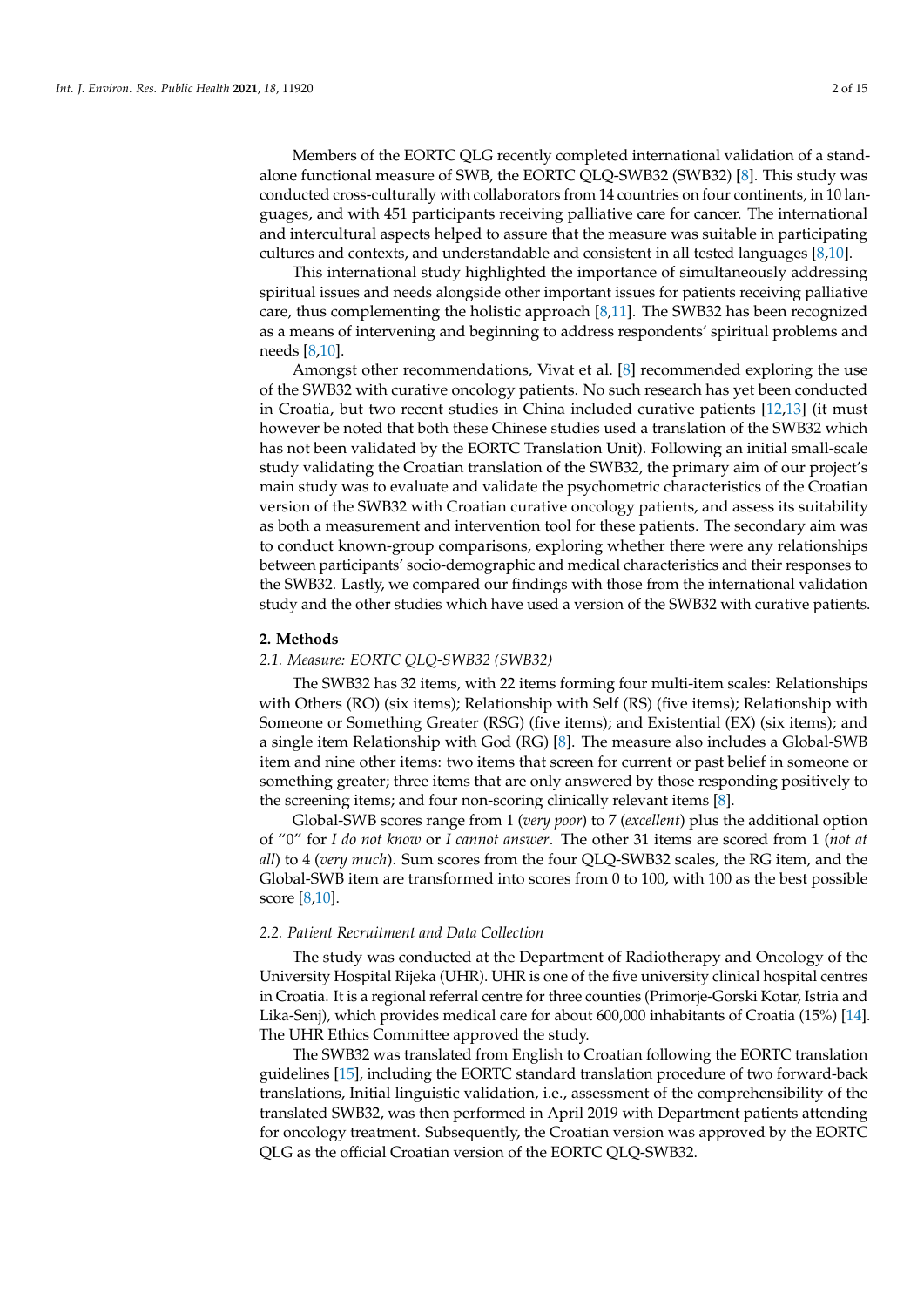Members of the EORTC QLG recently completed international validation of a standalone functional measure of SWB, the EORTC QLQ-SWB32 (SWB32) [\[8\]](#page-13-0). This study was conducted cross-culturally with collaborators from 14 countries on four continents, in 10 languages, and with 451 participants receiving palliative care for cancer. The international and intercultural aspects helped to assure that the measure was suitable in participating cultures and contexts, and understandable and consistent in all tested languages [\[8](#page-13-0)[,10\]](#page-13-2).

This international study highlighted the importance of simultaneously addressing spiritual issues and needs alongside other important issues for patients receiving palliative care, thus complementing the holistic approach [\[8,](#page-13-0)[11\]](#page-13-3). The SWB32 has been recognized as a means of intervening and beginning to address respondents' spiritual problems and needs [\[8,](#page-13-0)[10\]](#page-13-2).

Amongst other recommendations, Vivat et al. [\[8\]](#page-13-0) recommended exploring the use of the SWB32 with curative oncology patients. No such research has yet been conducted in Croatia, but two recent studies in China included curative patients [\[12,](#page-13-4)[13\]](#page-13-5) (it must however be noted that both these Chinese studies used a translation of the SWB32 which has not been validated by the EORTC Translation Unit). Following an initial small-scale study validating the Croatian translation of the SWB32, the primary aim of our project's main study was to evaluate and validate the psychometric characteristics of the Croatian version of the SWB32 with Croatian curative oncology patients, and assess its suitability as both a measurement and intervention tool for these patients. The secondary aim was to conduct known-group comparisons, exploring whether there were any relationships between participants' socio-demographic and medical characteristics and their responses to the SWB32. Lastly, we compared our findings with those from the international validation study and the other studies which have used a version of the SWB32 with curative patients.

### **2. Methods**

#### *2.1. Measure: EORTC QLQ-SWB32 (SWB32)*

The SWB32 has 32 items, with 22 items forming four multi-item scales: Relationships with Others (RO) (six items); Relationship with Self (RS) (five items); Relationship with Someone or Something Greater (RSG) (five items); and Existential (EX) (six items); and a single item Relationship with God (RG) [\[8\]](#page-13-0). The measure also includes a Global-SWB item and nine other items: two items that screen for current or past belief in someone or something greater; three items that are only answered by those responding positively to the screening items; and four non-scoring clinically relevant items [\[8\]](#page-13-0).

Global-SWB scores range from 1 (*very poor*) to 7 (*excellent*) plus the additional option of "0" for *I do not know* or *I cannot answer*. The other 31 items are scored from 1 (*not at all*) to 4 (*very much*). Sum scores from the four QLQ-SWB32 scales, the RG item, and the Global-SWB item are transformed into scores from 0 to 100, with 100 as the best possible score [\[8,](#page-13-0)[10\]](#page-13-2).

# *2.2. Patient Recruitment and Data Collection*

The study was conducted at the Department of Radiotherapy and Oncology of the University Hospital Rijeka (UHR). UHR is one of the five university clinical hospital centres in Croatia. It is a regional referral centre for three counties (Primorje-Gorski Kotar, Istria and Lika-Senj), which provides medical care for about 600,000 inhabitants of Croatia (15%) [\[14\]](#page-13-6). The UHR Ethics Committee approved the study.

The SWB32 was translated from English to Croatian following the EORTC translation guidelines [\[15\]](#page-13-7), including the EORTC standard translation procedure of two forward-back translations, Initial linguistic validation, i.e., assessment of the comprehensibility of the translated SWB32, was then performed in April 2019 with Department patients attending for oncology treatment. Subsequently, the Croatian version was approved by the EORTC QLG as the official Croatian version of the EORTC QLQ-SWB32.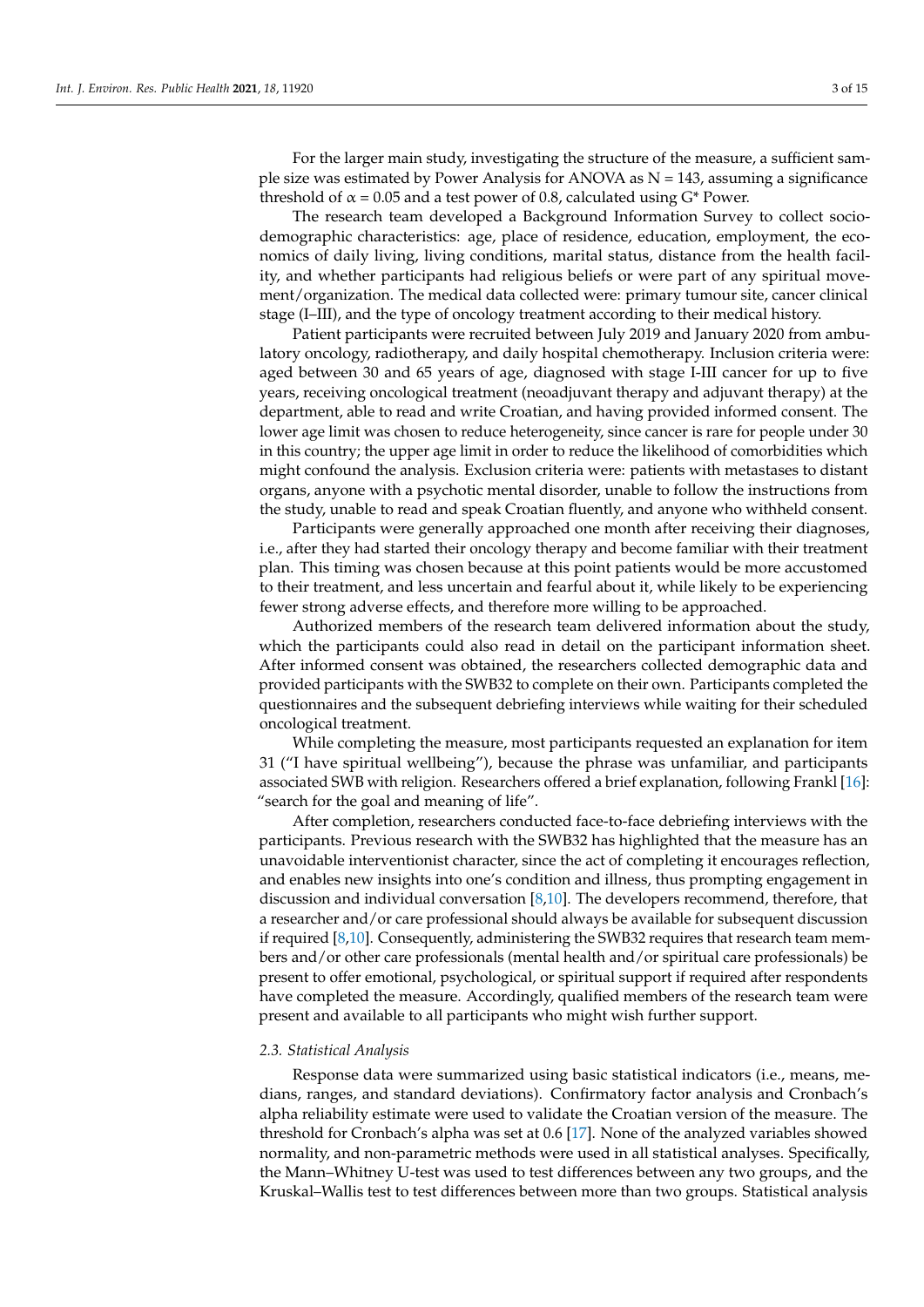For the larger main study, investigating the structure of the measure, a sufficient sample size was estimated by Power Analysis for ANOVA as  $N = 143$ , assuming a significance threshold of  $\alpha$  = 0.05 and a test power of 0.8, calculated using G\* Power.

The research team developed a Background Information Survey to collect sociodemographic characteristics: age, place of residence, education, employment, the economics of daily living, living conditions, marital status, distance from the health facility, and whether participants had religious beliefs or were part of any spiritual movement/organization. The medical data collected were: primary tumour site, cancer clinical stage (I–III), and the type of oncology treatment according to their medical history.

Patient participants were recruited between July 2019 and January 2020 from ambulatory oncology, radiotherapy, and daily hospital chemotherapy. Inclusion criteria were: aged between 30 and 65 years of age, diagnosed with stage I-III cancer for up to five years, receiving oncological treatment (neoadjuvant therapy and adjuvant therapy) at the department, able to read and write Croatian, and having provided informed consent. The lower age limit was chosen to reduce heterogeneity, since cancer is rare for people under 30 in this country; the upper age limit in order to reduce the likelihood of comorbidities which might confound the analysis. Exclusion criteria were: patients with metastases to distant organs, anyone with a psychotic mental disorder, unable to follow the instructions from the study, unable to read and speak Croatian fluently, and anyone who withheld consent.

Participants were generally approached one month after receiving their diagnoses, i.e., after they had started their oncology therapy and become familiar with their treatment plan. This timing was chosen because at this point patients would be more accustomed to their treatment, and less uncertain and fearful about it, while likely to be experiencing fewer strong adverse effects, and therefore more willing to be approached.

Authorized members of the research team delivered information about the study, which the participants could also read in detail on the participant information sheet. After informed consent was obtained, the researchers collected demographic data and provided participants with the SWB32 to complete on their own. Participants completed the questionnaires and the subsequent debriefing interviews while waiting for their scheduled oncological treatment.

While completing the measure, most participants requested an explanation for item 31 ("I have spiritual wellbeing"), because the phrase was unfamiliar, and participants associated SWB with religion. Researchers offered a brief explanation, following Frankl [\[16\]](#page-13-8): "search for the goal and meaning of life".

After completion, researchers conducted face-to-face debriefing interviews with the participants. Previous research with the SWB32 has highlighted that the measure has an unavoidable interventionist character, since the act of completing it encourages reflection, and enables new insights into one's condition and illness, thus prompting engagement in discussion and individual conversation [\[8](#page-13-0)[,10\]](#page-13-2). The developers recommend, therefore, that a researcher and/or care professional should always be available for subsequent discussion if required [\[8,](#page-13-0)[10\]](#page-13-2). Consequently, administering the SWB32 requires that research team members and/or other care professionals (mental health and/or spiritual care professionals) be present to offer emotional, psychological, or spiritual support if required after respondents have completed the measure. Accordingly, qualified members of the research team were present and available to all participants who might wish further support.

#### *2.3. Statistical Analysis*

Response data were summarized using basic statistical indicators (i.e., means, medians, ranges, and standard deviations). Confirmatory factor analysis and Cronbach's alpha reliability estimate were used to validate the Croatian version of the measure. The threshold for Cronbach's alpha was set at 0.6 [\[17\]](#page-13-9). None of the analyzed variables showed normality, and non-parametric methods were used in all statistical analyses. Specifically, the Mann–Whitney U-test was used to test differences between any two groups, and the Kruskal–Wallis test to test differences between more than two groups. Statistical analysis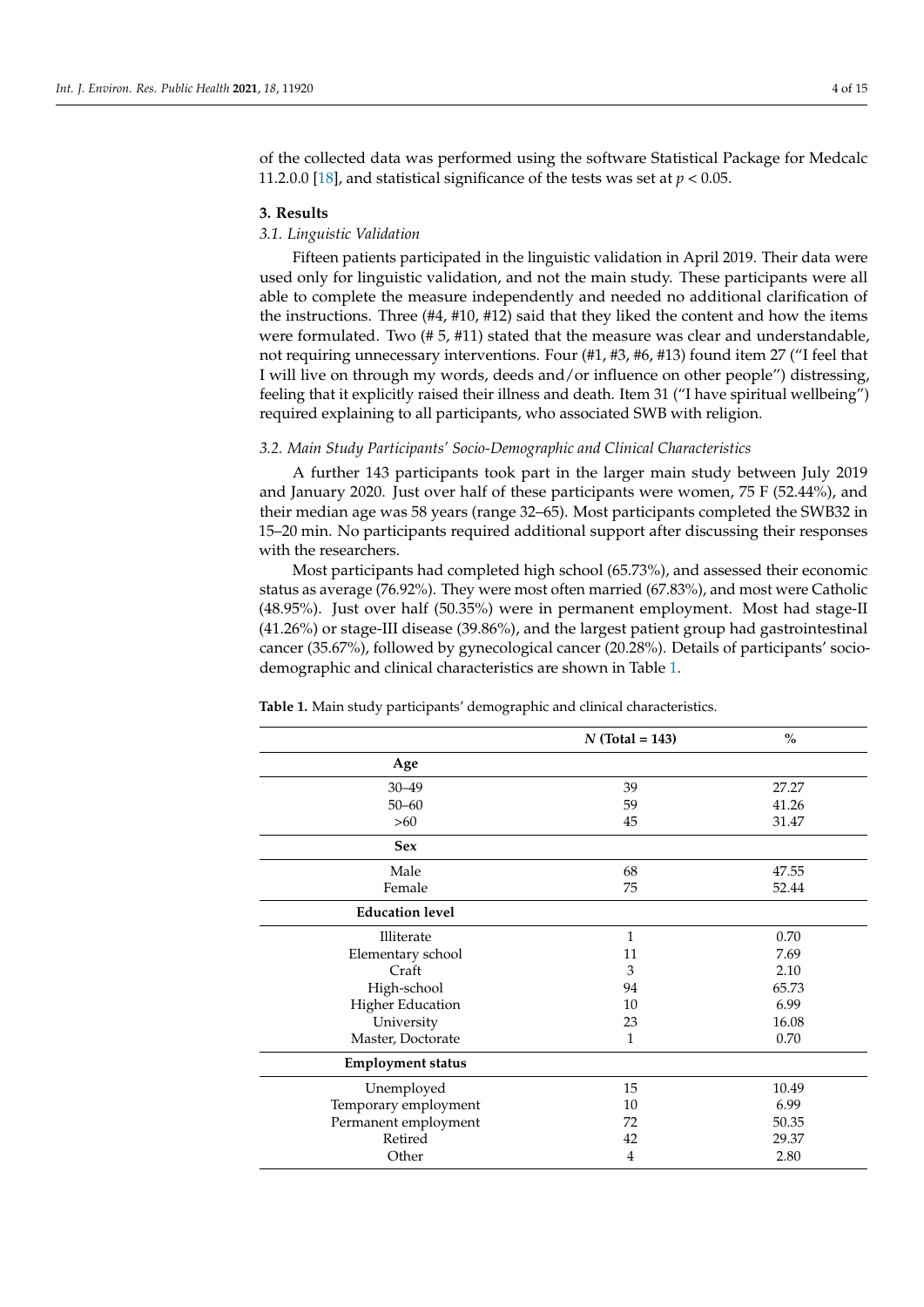of the collected data was performed using the software Statistical Package for Medcalc 11.2.0.0 [\[18\]](#page-13-10), and statistical significance of the tests was set at  $p < 0.05$ .

### **3. Results**

# *3.1. Linguistic Validation*

Fifteen patients participated in the linguistic validation in April 2019. Their data were used only for linguistic validation, and not the main study. These participants were all able to complete the measure independently and needed no additional clarification of the instructions. Three (#4, #10, #12) said that they liked the content and how the items were formulated. Two  $(\# 5, \# 11)$  stated that the measure was clear and understandable, not requiring unnecessary interventions. Four (#1, #3, #6, #13) found item 27 ("I feel that I will live on through my words, deeds and/or influence on other people") distressing, feeling that it explicitly raised their illness and death. Item 31 ("I have spiritual wellbeing") required explaining to all participants, who associated SWB with religion.

## *3.2. Main Study Participants' Socio-Demographic and Clinical Characteristics*

A further 143 participants took part in the larger main study between July 2019 and January 2020. Just over half of these participants were women, 75 F (52.44%), and their median age was 58 years (range 32–65). Most participants completed the SWB32 in 15–20 min. No participants required additional support after discussing their responses with the researchers.

Most participants had completed high school (65.73%), and assessed their economic status as average (76.92%). They were most often married (67.83%), and most were Catholic (48.95%). Just over half (50.35%) were in permanent employment. Most had stage-II (41.26%) or stage-III disease (39.86%), and the largest patient group had gastrointestinal cancer (35.67%), followed by gynecological cancer (20.28%). Details of participants' sociodemographic and clinical characteristics are shown in Table [1.](#page-3-0)

|                          | $N$ (Total = 143) | $\%$  |
|--------------------------|-------------------|-------|
| Age                      |                   |       |
| $30 - 49$                | 39                | 27.27 |
| $50 - 60$                | 59                | 41.26 |
| $>60$                    | 45                | 31.47 |
| <b>Sex</b>               |                   |       |
| Male                     | 68                | 47.55 |
| Female                   | 75                | 52.44 |
| <b>Education level</b>   |                   |       |
| Illiterate               | $\mathbf{1}$      | 0.70  |
| Elementary school        | 11                | 7.69  |
| Craft                    | 3                 | 2.10  |
| High-school              | 94                | 65.73 |
| <b>Higher Education</b>  | 10                | 6.99  |
| University               | 23                | 16.08 |
| Master, Doctorate        | 1                 | 0.70  |
| <b>Employment status</b> |                   |       |
| Unemployed               | 15                | 10.49 |
| Temporary employment     | 10                | 6.99  |
| Permanent employment     | 72                | 50.35 |
| Retired                  | 42                | 29.37 |
| Other                    | 4                 | 2.80  |

<span id="page-3-0"></span>**Table 1.** Main study participants' demographic and clinical characteristics.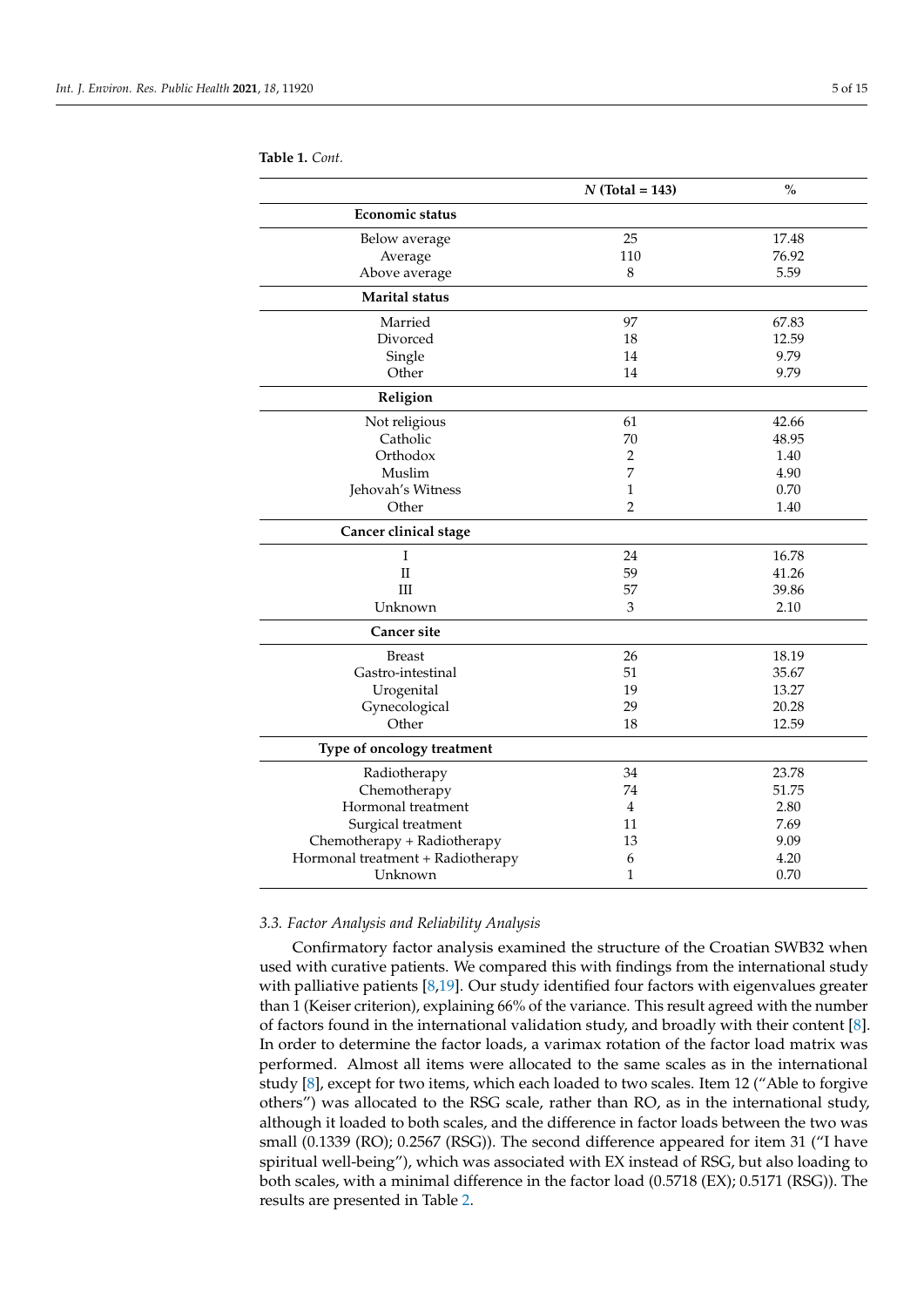|                                   | $N$ (Total = 143) | $\frac{0}{0}$ |
|-----------------------------------|-------------------|---------------|
| <b>Economic status</b>            |                   |               |
| Below average                     | 25                | 17.48         |
| Average                           | 110               | 76.92         |
| Above average                     | 8                 | 5.59          |
| <b>Marital</b> status             |                   |               |
| Married                           | 97                | 67.83         |
| Divorced                          | 18                | 12.59         |
| Single                            | 14                | 9.79          |
| Other                             | 14                | 9.79          |
| Religion                          |                   |               |
| Not religious                     | 61                | 42.66         |
| Catholic                          | 70                | 48.95         |
| Orthodox                          | $\overline{2}$    | 1.40          |
| Muslim                            | 7                 | 4.90          |
| Jehovah's Witness                 | 1                 | 0.70          |
| Other                             | $\overline{2}$    | 1.40          |
| Cancer clinical stage             |                   |               |
| Ι                                 | 24                | 16.78         |
| $\mathbf{I}$                      | 59                | 41.26         |
| Ш                                 | 57                | 39.86         |
| Unknown                           | 3                 | 2.10          |
| <b>Cancer site</b>                |                   |               |
| <b>Breast</b>                     | 26                | 18.19         |
| Gastro-intestinal                 | 51                | 35.67         |
| Urogenital                        | 19                | 13.27         |
| Gynecological                     | 29                | 20.28         |
| Other                             | 18                | 12.59         |
| Type of oncology treatment        |                   |               |
| Radiotherapy                      | 34                | 23.78         |
| Chemotherapy                      | 74                | 51.75         |
| Hormonal treatment                | 4                 | 2.80          |
| Surgical treatment                | 11                | 7.69          |
| Chemotherapy + Radiotherapy       | 13                | 9.09          |
| Hormonal treatment + Radiotherapy | 6                 | 4.20          |
| Unknown                           | $\mathbf{1}$      | 0.70          |

**Table 1.** *Cont.*

# *3.3. Factor Analysis and Reliability Analysis*

Confirmatory factor analysis examined the structure of the Croatian SWB32 when used with curative patients. We compared this with findings from the international study with palliative patients [\[8](#page-13-0)[,19\]](#page-13-11). Our study identified four factors with eigenvalues greater than 1 (Keiser criterion), explaining 66% of the variance. This result agreed with the number of factors found in the international validation study, and broadly with their content [\[8\]](#page-13-0). In order to determine the factor loads, a varimax rotation of the factor load matrix was performed. Almost all items were allocated to the same scales as in the international study [\[8\]](#page-13-0), except for two items, which each loaded to two scales. Item 12 ("Able to forgive others") was allocated to the RSG scale, rather than RO, as in the international study, although it loaded to both scales, and the difference in factor loads between the two was small (0.1339 (RO); 0.2567 (RSG)). The second difference appeared for item 31 ("I have spiritual well-being"), which was associated with EX instead of RSG, but also loading to both scales, with a minimal difference in the factor load (0.5718 (EX); 0.5171 (RSG)). The results are presented in Table [2.](#page-5-0)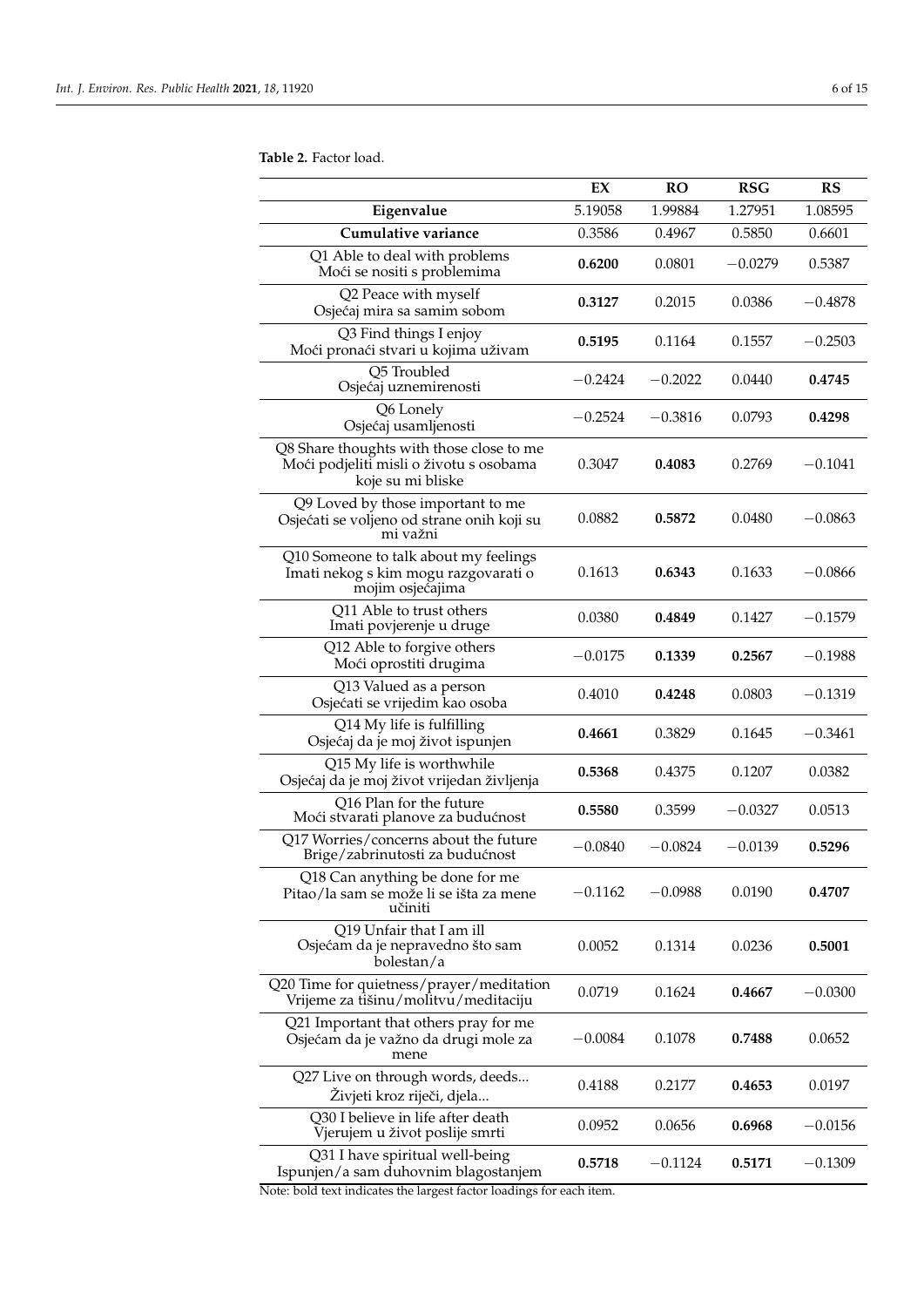<span id="page-5-0"></span>**Table 2.** Factor load.

|                                                                                                          | EX        | <b>RO</b> | <b>RSG</b> | RS        |
|----------------------------------------------------------------------------------------------------------|-----------|-----------|------------|-----------|
| Eigenvalue                                                                                               | 5.19058   | 1.99884   | 1.27951    | 1.08595   |
| Cumulative variance                                                                                      | 0.3586    | 0.4967    | 0.5850     | 0.6601    |
| Q1 Able to deal with problems<br>Moći se nositi s problemima                                             | 0.6200    | 0.0801    | $-0.0279$  | 0.5387    |
| Q2 Peace with myself<br>Osjećaj mira sa samim sobom                                                      | 0.3127    | 0.2015    | 0.0386     | $-0.4878$ |
| Q3 Find things I enjoy<br>Moći pronaći stvari u kojima uživam                                            | 0.5195    | 0.1164    | 0.1557     | $-0.2503$ |
| Q5 Troubled<br>Osjećaj uznemirenosti                                                                     | -0.2424   | $-0.2022$ | 0.0440     | 0.4745    |
| Q6 Lonely<br>Osjećaj usamljenosti                                                                        | $-0.2524$ | $-0.3816$ | 0.0793     | 0.4298    |
| Q8 Share thoughts with those close to me<br>Moći podjeliti misli o životu s osobama<br>koje su mi bliske | 0.3047    | 0.4083    | 0.2769     | $-0.1041$ |
| Q9 Loved by those important to me<br>Osjećati se voljeno od strane onih koji su<br>mi važni              | 0.0882    | 0.5872    | 0.0480     | $-0.0863$ |
| Q10 Someone to talk about my feelings<br>Imati nekog s kim mogu razgovarati o<br>mojim osjećajima        | 0.1613    | 0.6343    | 0.1633     | $-0.0866$ |
| Q11 Able to trust others<br>Imati povjerenje u druge                                                     | 0.0380    | 0.4849    | 0.1427     | $-0.1579$ |
| Q12 Able to forgive others<br>Moći oprostiti drugima                                                     | $-0.0175$ | 0.1339    | 0.2567     | $-0.1988$ |
| Q13 Valued as a person<br>Osjećati se vrijedim kao osoba                                                 | 0.4010    | 0.4248    | 0.0803     | $-0.1319$ |
| Q14 My life is fulfilling<br>Osjećaj da je moj život ispunjen                                            | 0.4661    | 0.3829    | 0.1645     | $-0.3461$ |
| Q15 My life is worthwhile<br>Osjećaj da je moj život vrijedan življenja                                  | 0.5368    | 0.4375    | 0.1207     | 0.0382    |
| Q16 Plan for the future<br>Moći stvarati planove za budućnost                                            | 0.5580    | 0.3599    | $-0.0327$  | 0.0513    |
| Q17 Worries/concerns about the future<br>Brige/zabrinutosti za budućnost                                 | $-0.0840$ | $-0.0824$ | $-0.0139$  | 0.5296    |
| Q18 Can anything be done for me<br>Pitao/la sam se može li se išta za mene<br>učiniti                    | $-0.1162$ | $-0.0988$ | 0.0190     | 0.4707    |
| Q19 Unfair that I am ill<br>Osjećam da je nepravedno što sam<br>bolestan/a                               | 0.0052    | 0.1314    | 0.0236     | 0.5001    |
| Q20 Time for quietness/prayer/meditation<br>Vrijeme za tišinu/molitvu/meditaciju                         | 0.0719    | 0.1624    | 0.4667     | $-0.0300$ |
| Q21 Important that others pray for me<br>Osjećam da je važno da drugi mole za<br>mene                    | $-0.0084$ | 0.1078    | 0.7488     | 0.0652    |
| Q27 Live on through words, deeds<br>Živjeti kroz riječi, djela                                           | 0.4188    | 0.2177    | 0.4653     | 0.0197    |
| Q30 I believe in life after death<br>Vjerujem u život poslije smrti                                      | 0.0952    | 0.0656    | 0.6968     | $-0.0156$ |
| Q31 I have spiritual well-being<br>Ispunjen/a sam duhovnim blagostanjem                                  | 0.5718    | $-0.1124$ | 0.5171     | $-0.1309$ |

Note: bold text indicates the largest factor loadings for each item.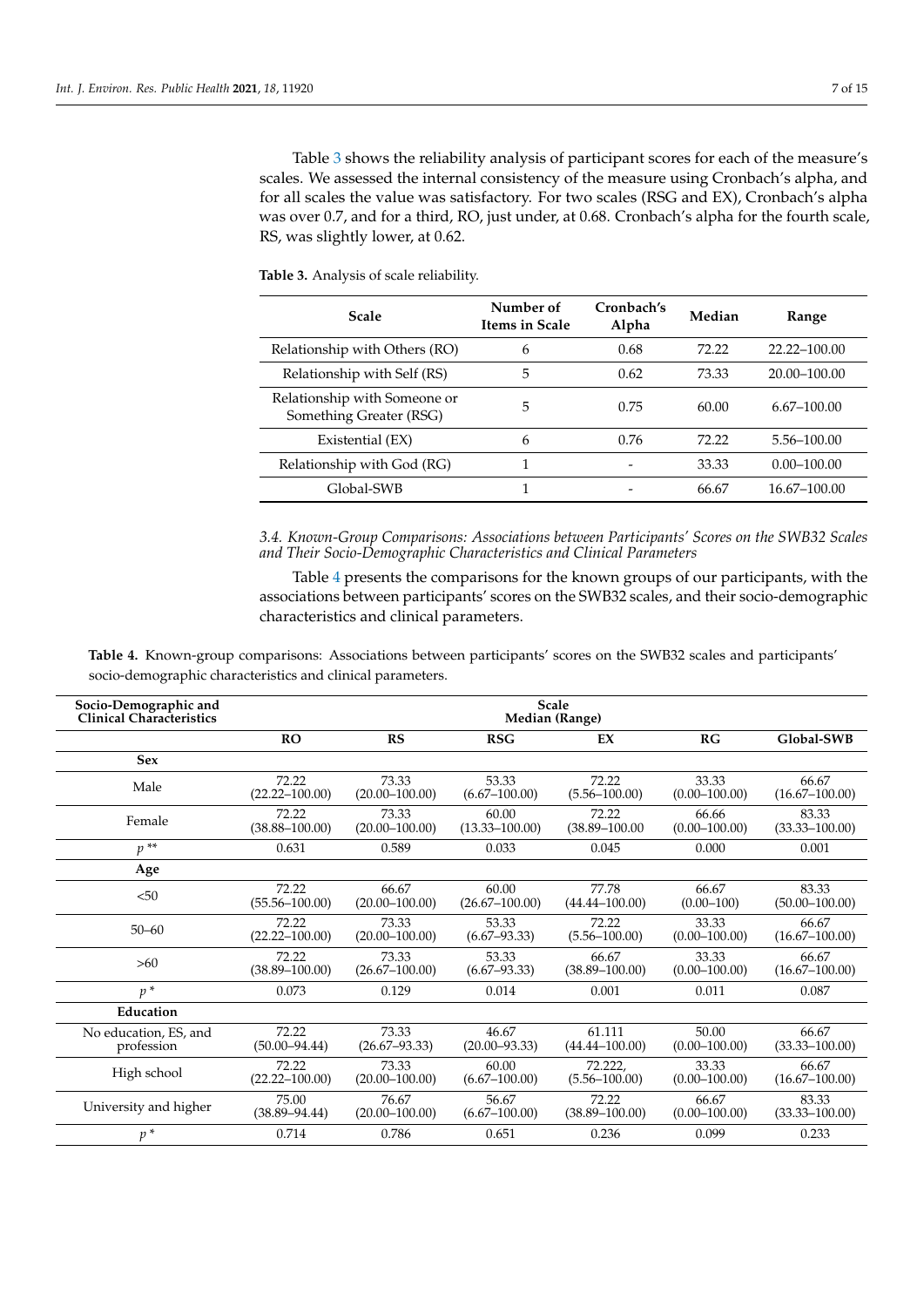Table [3](#page-6-0) shows the reliability analysis of participant scores for each of the measure's scales. We assessed the internal consistency of the measure using Cronbach's alpha, and for all scales the value was satisfactory. For two scales (RSG and EX), Cronbach's alpha was over 0.7, and for a third, RO, just under, at 0.68. Cronbach's alpha for the fourth scale, RS, was slightly lower, at 0.62.

| Scale                                                   | Number of<br><b>Items in Scale</b> | Cronbach's<br>Alpha | Median | Range           |
|---------------------------------------------------------|------------------------------------|---------------------|--------|-----------------|
| Relationship with Others (RO)                           | 6                                  | 0.68                | 72.22  | 22.22-100.00    |
| Relationship with Self (RS)                             | 5                                  | 0.62                | 73.33  | 20.00-100.00    |
| Relationship with Someone or<br>Something Greater (RSG) | 5                                  | 0.75                | 60.00  | $6.67 - 100.00$ |
| Existential (EX)                                        | 6                                  | 0.76                | 72.22  | 5.56-100.00     |
| Relationship with God (RG)                              |                                    |                     | 33.33  | $0.00 - 100.00$ |
| Global-SWB                                              |                                    |                     | 66.67  | 16.67-100.00    |

<span id="page-6-0"></span>**Table 3.** Analysis of scale reliability.

*3.4. Known-Group Comparisons: Associations between Participants' Scores on the SWB32 Scales and Their Socio-Demographic Characteristics and Clinical Parameters*

Table [4](#page-6-1) presents the comparisons for the known groups of our participants, with the associations between participants' scores on the SWB32 scales, and their socio-demographic characteristics and clinical parameters.

<span id="page-6-1"></span>**Table 4.** Known-group comparisons: Associations between participants' scores on the SWB32 scales and participants' socio-demographic characteristics and clinical parameters.

| Socio-Demographic and           | <b>Scale</b>       |                    |                    |                    |                   |                    |
|---------------------------------|--------------------|--------------------|--------------------|--------------------|-------------------|--------------------|
| <b>Clinical Characteristics</b> | Median (Range)     |                    |                    |                    |                   |                    |
|                                 | <b>RO</b>          | RS                 | <b>RSG</b>         | EX                 | RG                | Global-SWB         |
| <b>Sex</b>                      |                    |                    |                    |                    |                   |                    |
| Male                            | 72.22              | 73.33              | 53.33              | 72.22              | 33.33             | 66.67              |
|                                 | $(22.22 - 100.00)$ | $(20.00 - 100.00)$ | $(6.67 - 100.00)$  | $(5.56 - 100.00)$  | $(0.00 - 100.00)$ | $(16.67 - 100.00)$ |
| Female                          | 72.22              | 73.33              | 60.00              | 72.22              | 66.66             | 83.33              |
|                                 | $(38.88 - 100.00)$ | $(20.00 - 100.00)$ | $(13.33 - 100.00)$ | $(38.89 - 100.00)$ | $(0.00 - 100.00)$ | $(33.33 - 100.00)$ |
| $p^{**}$                        | 0.631              | 0.589              | 0.033              | 0.045              | 0.000             | 0.001              |
| Age                             |                    |                    |                    |                    |                   |                    |
| < 50                            | 72.22              | 66.67              | 60.00              | 77.78              | 66.67             | 83.33              |
|                                 | $(55.56 - 100.00)$ | $(20.00 - 100.00)$ | $(26.67 - 100.00)$ | $(44.44 - 100.00)$ | $(0.00 - 100)$    | $(50.00 - 100.00)$ |
| $50 - 60$                       | 72.22              | 73.33              | 53.33              | 72.22              | 33.33             | 66.67              |
|                                 | $(22.22 - 100.00)$ | $(20.00 - 100.00)$ | $(6.67 - 93.33)$   | $(5.56 - 100.00)$  | $(0.00 - 100.00)$ | $(16.67 - 100.00)$ |
| >60                             | 72.22              | 73.33              | 53.33              | 66.67              | 33.33             | 66.67              |
|                                 | $(38.89 - 100.00)$ | $(26.67 - 100.00)$ | $(6.67 - 93.33)$   | $(38.89 - 100.00)$ | $(0.00 - 100.00)$ | $(16.67 - 100.00)$ |
| $p^*$                           | 0.073              | 0.129              | 0.014              | 0.001              | 0.011             | 0.087              |
| Education                       |                    |                    |                    |                    |                   |                    |
| No education, ES, and           | 72.22              | 73.33              | 46.67              | 61.111             | 50.00             | 66.67              |
| profession                      | $(50.00 - 94.44)$  | $(26.67 - 93.33)$  | $(20.00 - 93.33)$  | $(44.44 - 100.00)$ | $(0.00 - 100.00)$ | $(33.33 - 100.00)$ |
| High school                     | 72.22              | 73.33              | 60.00              | 72.222.            | 33.33             | 66.67              |
|                                 | $(22.22 - 100.00)$ | $(20.00 - 100.00)$ | $(6.67 - 100.00)$  | $(5.56 - 100.00)$  | $(0.00 - 100.00)$ | $(16.67 - 100.00)$ |
| University and higher           | 75.00              | 76.67              | 56.67              | 72.22              | 66.67             | 83.33              |
|                                 | $(38.89 - 94.44)$  | $(20.00 - 100.00)$ | $(6.67 - 100.00)$  | $(38.89 - 100.00)$ | $(0.00 - 100.00)$ | $(33.33 - 100.00)$ |
| $p^*$                           | 0.714              | 0.786              | 0.651              | 0.236              | 0.099             | 0.233              |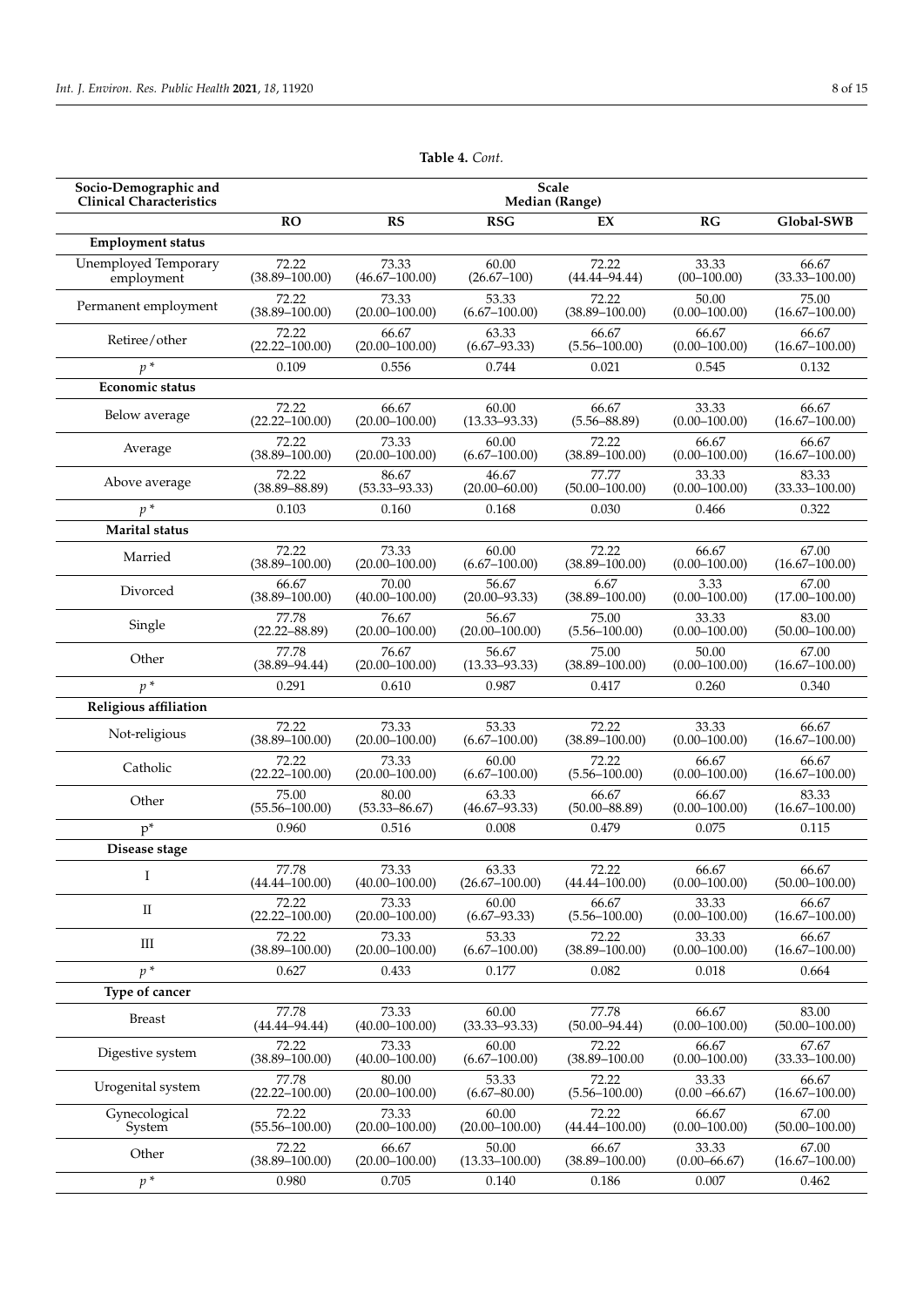| Socio-Demographic and           | Scale              |                    |                    |                    |                   |                    |
|---------------------------------|--------------------|--------------------|--------------------|--------------------|-------------------|--------------------|
| <b>Clinical Characteristics</b> | Median (Range)     |                    |                    |                    |                   |                    |
|                                 | <b>RO</b>          | <b>RS</b>          | <b>RSG</b>         | EX                 | RG                | Global-SWB         |
| <b>Employment status</b>        |                    |                    |                    |                    |                   |                    |
| Unemployed Temporary            | 72.22              | 73.33              | 60.00              | 72.22              | 33.33             | 66.67              |
| employment                      | $(38.89 - 100.00)$ | $(46.67 - 100.00)$ | $(26.67 - 100)$    | $(44.44 - 94.44)$  | $(00-100.00)$     | $(33.33 - 100.00)$ |
| Permanent employment            | 72.22              | 73.33              | 53.33              | 72.22              | 50.00             | 75.00              |
|                                 | $(38.89 - 100.00)$ | $(20.00 - 100.00)$ | $(6.67 - 100.00)$  | $(38.89 - 100.00)$ | $(0.00 - 100.00)$ | $(16.67 - 100.00)$ |
| Retiree/other                   | 72.22              | 66.67              | 63.33              | 66.67              | 66.67             | 66.67              |
|                                 | $(22.22 - 100.00)$ | $(20.00 - 100.00)$ | $(6.67 - 93.33)$   | $(5.56 - 100.00)$  | $(0.00 - 100.00)$ | $(16.67 - 100.00)$ |
| $p^*$                           | 0.109              | 0.556              | 0.744              | 0.021              | 0.545             | 0.132              |
| Economic status                 |                    |                    |                    |                    |                   |                    |
| Below average                   | 72.22              | 66.67              | 60.00              | 66.67              | 33.33             | 66.67              |
|                                 | $(22.22 - 100.00)$ | $(20.00 - 100.00)$ | $(13.33 - 93.33)$  | $(5.56 - 88.89)$   | $(0.00 - 100.00)$ | $(16.67 - 100.00)$ |
| Average                         | 72.22              | 73.33              | 60.00              | 72.22              | 66.67             | 66.67              |
|                                 | $(38.89 - 100.00)$ | $(20.00 - 100.00)$ | $(6.67 - 100.00)$  | $(38.89 - 100.00)$ | $(0.00 - 100.00)$ | $(16.67 - 100.00)$ |
| Above average                   | 72.22              | 86.67              | 46.67              | 77.77              | 33.33             | 83.33              |
|                                 | $(38.89 - 88.89)$  | $(53.33 - 93.33)$  | $(20.00 - 60.00)$  | $(50.00 - 100.00)$ | $(0.00 - 100.00)$ | $(33.33 - 100.00)$ |
| $p^*$                           | 0.103              | 0.160              | 0.168              | 0.030              | 0.466             | 0.322              |
| <b>Marital</b> status           |                    |                    |                    |                    |                   |                    |
| Married                         | 72.22              | 73.33              | 60.00              | 72.22              | 66.67             | 67.00              |
|                                 | $(38.89 - 100.00)$ | $(20.00 - 100.00)$ | $(6.67 - 100.00)$  | $(38.89 - 100.00)$ | $(0.00 - 100.00)$ | $(16.67 - 100.00)$ |
| Divorced                        | 66.67              | 70.00              | 56.67              | 6.67               | 3.33              | 67.00              |
|                                 | $(38.89 - 100.00)$ | $(40.00 - 100.00)$ | $(20.00 - 93.33)$  | $(38.89 - 100.00)$ | $(0.00 - 100.00)$ | $(17.00 - 100.00)$ |
| Single                          | 77.78              | 76.67              | 56.67              | 75.00              | 33.33             | 83.00              |
|                                 | $(22.22 - 88.89)$  | $(20.00 - 100.00)$ | $(20.00 - 100.00)$ | $(5.56 - 100.00)$  | $(0.00 - 100.00)$ | $(50.00 - 100.00)$ |
| Other                           | 77.78              | 76.67              | 56.67              | 75.00              | 50.00             | 67.00              |
|                                 | $(38.89 - 94.44)$  | $(20.00 - 100.00)$ | $(13.33 - 93.33)$  | $(38.89 - 100.00)$ | $(0.00 - 100.00)$ | $(16.67 - 100.00)$ |
| $v^*$                           | 0.291              | 0.610              | 0.987              | 0.417              | 0.260             | 0.340              |
| Religious affiliation           |                    |                    |                    |                    |                   |                    |
| Not-religious                   | 72.22              | 73.33              | 53.33              | 72.22              | 33.33             | 66.67              |
|                                 | $(38.89 - 100.00)$ | $(20.00 - 100.00)$ | $(6.67 - 100.00)$  | $(38.89 - 100.00)$ | $(0.00 - 100.00)$ | $(16.67 - 100.00)$ |
| Catholic                        | 72.22              | 73.33              | 60.00              | 72.22              | 66.67             | 66.67              |
|                                 | $(22.22 - 100.00)$ | $(20.00 - 100.00)$ | $(6.67 - 100.00)$  | $(5.56 - 100.00)$  | $(0.00 - 100.00)$ | $(16.67 - 100.00)$ |
| Other                           | 75.00              | 80.00              | 63.33              | 66.67              | 66.67             | 83.33              |
|                                 | $(55.56 - 100.00)$ | $(53.33 - 86.67)$  | $(46.67 - 93.33)$  | $(50.00 - 88.89)$  | $(0.00 - 100.00)$ | $(16.67 - 100.00)$ |
| $p^*$                           | 0.960              | 0.516              | 0.008              | 0.479              | 0.075             | 0.115              |
| Disease stage                   |                    |                    |                    |                    |                   |                    |
| -1                              | 77.78              | 73.33              | 63.33              | 72.22              | 66.67             | 66.67              |
|                                 | $(44.44 - 100.00)$ | $(40.00 - 100.00)$ | $(26.67 - 100.00)$ | $(44.44 - 100.00)$ | $(0.00 - 100.00)$ | $(50.00 - 100.00)$ |
| $\mathbf{I}$                    | 72.22              | 73.33              | 60.00              | 66.67              | 33.33             | 66.67              |
|                                 | $(22.22 - 100.00)$ | $(20.00 - 100.00)$ | $(6.67 - 93.33)$   | $(5.56 - 100.00)$  | $(0.00 - 100.00)$ | $(16.67 - 100.00)$ |
| Ш                               | 72.22              | 73.33              | 53.33              | 72.22              | 33.33             | 66.67              |
|                                 | $(38.89 - 100.00)$ | $(20.00 - 100.00)$ | $(6.67 - 100.00)$  | $(38.89 - 100.00)$ | $(0.00 - 100.00)$ | $(16.67 - 100.00)$ |
| $p^*$                           | 0.627              | 0.433              | 0.177              | 0.082              | 0.018             | 0.664              |
| Type of cancer                  |                    |                    |                    |                    |                   |                    |
| <b>Breast</b>                   | 77.78              | 73.33              | 60.00              | 77.78              | 66.67             | 83.00              |
|                                 | $(44.44 - 94.44)$  | $(40.00 - 100.00)$ | $(33.33 - 93.33)$  | $(50.00 - 94.44)$  | $(0.00 - 100.00)$ | $(50.00 - 100.00)$ |
| Digestive system                | 72.22              | 73.33              | 60.00              | 72.22              | 66.67             | 67.67              |
|                                 | $(38.89 - 100.00)$ | $(40.00 - 100.00)$ | $(6.67 - 100.00)$  | $(38.89 - 100.00)$ | $(0.00 - 100.00)$ | $(33.33 - 100.00)$ |
| Urogenital system               | 77.78              | 80.00              | 53.33              | 72.22              | 33.33             | 66.67              |
|                                 | $(22.22 - 100.00)$ | $(20.00 - 100.00)$ | $(6.67 - 80.00)$   | $(5.56 - 100.00)$  | $(0.00 - 66.67)$  | $(16.67 - 100.00)$ |
| Gynecological                   | 72.22              | 73.33              | 60.00              | 72.22              | 66.67             | 67.00              |
| System                          | $(55.56 - 100.00)$ | $(20.00 - 100.00)$ | $(20.00 - 100.00)$ | $(44.44 - 100.00)$ | $(0.00 - 100.00)$ | $(50.00 - 100.00)$ |
| Other                           | 72.22              | 66.67              | 50.00              | 66.67              | 33.33             | 67.00              |
|                                 | $(38.89 - 100.00)$ | $(20.00 - 100.00)$ | $(13.33 - 100.00)$ | $(38.89 - 100.00)$ | $(0.00 - 66.67)$  | $(16.67 - 100.00)$ |
| $p^*$                           | 0.980              | 0.705              | 0.140              | 0.186              | 0.007             | 0.462              |

**Table 4.** *Cont.*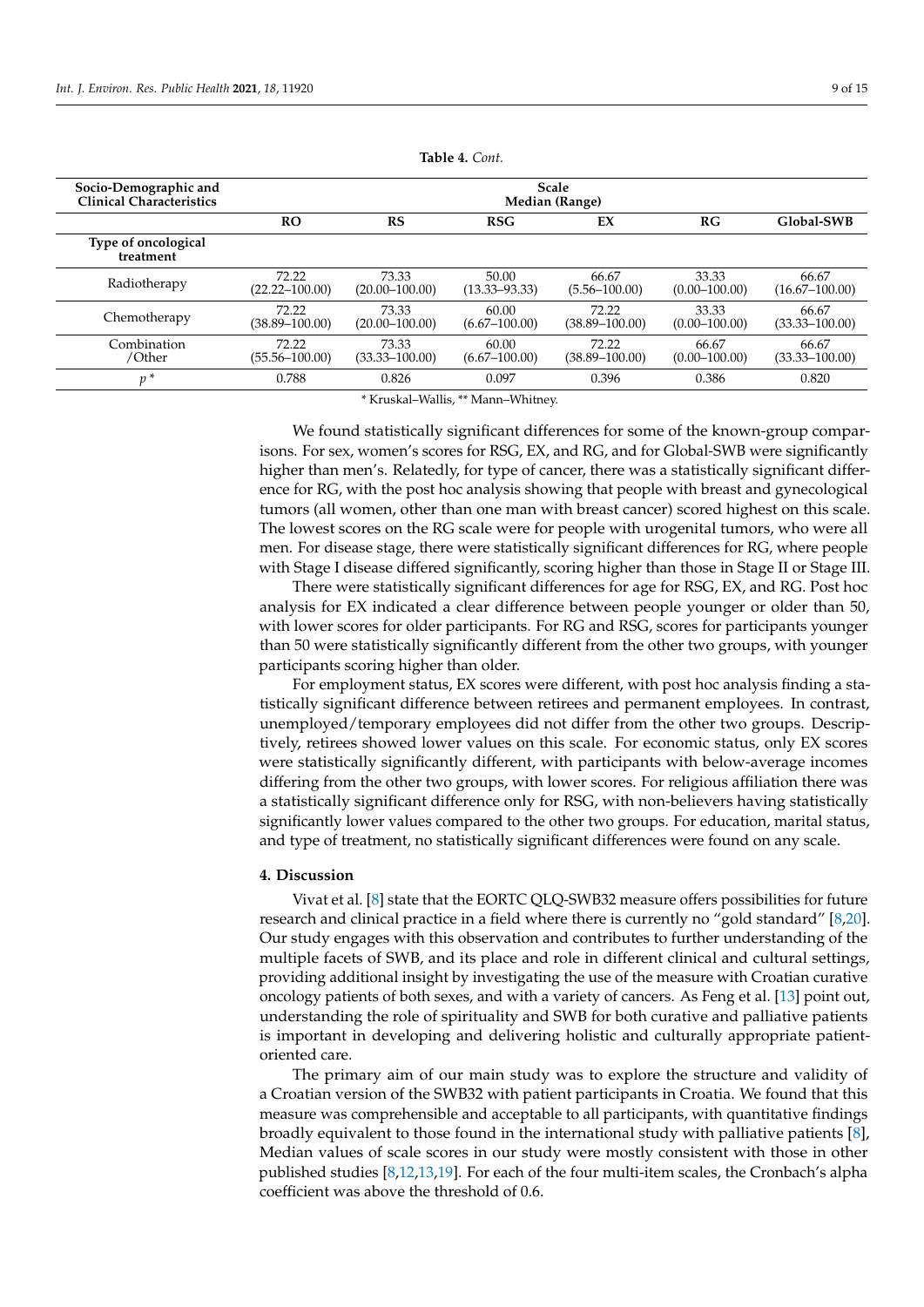| Socio-Demographic and<br>Clinical Characteristics | <b>Scale</b><br>Median (Range) |                             |                            |                             |                            |                             |
|---------------------------------------------------|--------------------------------|-----------------------------|----------------------------|-----------------------------|----------------------------|-----------------------------|
|                                                   |                                |                             |                            |                             |                            |                             |
|                                                   | <b>RO</b>                      | RS                          | <b>RSG</b>                 | EX                          | RG                         | Global-SWB                  |
| Type of oncological<br>treatment                  |                                |                             |                            |                             |                            |                             |
| Radiotherapy                                      | 72.22<br>(22.22–100.00)        | 73.33<br>$(20.00 - 100.00)$ | 50.00<br>$(13.33 - 93.33)$ | 66.67<br>$(5.56 - 100.00)$  | 33.33<br>$(0.00 - 100.00)$ | 66.67<br>$(16.67 - 100.00)$ |
| Chemotherapy                                      | 72.22<br>$(38.89 - 100.00)$    | 73.33<br>$(20.00 - 100.00)$ | 60.00<br>$(6.67 - 100.00)$ | 72.22<br>$(38.89 - 100.00)$ | 33.33<br>$(0.00 - 100.00)$ | 66.67<br>$(33.33 - 100.00)$ |
| Combination<br>/Other                             | 72.22<br>$(55.56 - 100.00)$    | 73.33<br>$(33.33 - 100.00)$ | 60.00<br>$(6.67 - 100.00)$ | 72.22<br>$(38.89 - 100.00)$ | 66.67<br>$(0.00 - 100.00)$ | 66.67<br>$(33.33 - 100.00)$ |
| $v^*$                                             | 0.788                          | 0.826                       | 0.097                      | 0.396                       | 0.386                      | 0.820                       |

**Table 4.** *Cont.*

\* Kruskal–Wallis, \*\* Mann–Whitney.

We found statistically significant differences for some of the known-group comparisons. For sex, women's scores for RSG, EX, and RG, and for Global-SWB were significantly higher than men's. Relatedly, for type of cancer, there was a statistically significant difference for RG, with the post hoc analysis showing that people with breast and gynecological tumors (all women, other than one man with breast cancer) scored highest on this scale. The lowest scores on the RG scale were for people with urogenital tumors, who were all men. For disease stage, there were statistically significant differences for RG, where people with Stage I disease differed significantly, scoring higher than those in Stage II or Stage III.

There were statistically significant differences for age for RSG, EX, and RG. Post hoc analysis for EX indicated a clear difference between people younger or older than 50, with lower scores for older participants. For RG and RSG, scores for participants younger than 50 were statistically significantly different from the other two groups, with younger participants scoring higher than older.

For employment status, EX scores were different, with post hoc analysis finding a statistically significant difference between retirees and permanent employees. In contrast, unemployed/temporary employees did not differ from the other two groups. Descriptively, retirees showed lower values on this scale. For economic status, only EX scores were statistically significantly different, with participants with below-average incomes differing from the other two groups, with lower scores. For religious affiliation there was a statistically significant difference only for RSG, with non-believers having statistically significantly lower values compared to the other two groups. For education, marital status, and type of treatment, no statistically significant differences were found on any scale.

## **4. Discussion**

Vivat et al. [\[8\]](#page-13-0) state that the EORTC QLQ-SWB32 measure offers possibilities for future research and clinical practice in a field where there is currently no "gold standard" [\[8,](#page-13-0)[20\]](#page-13-12). Our study engages with this observation and contributes to further understanding of the multiple facets of SWB, and its place and role in different clinical and cultural settings, providing additional insight by investigating the use of the measure with Croatian curative oncology patients of both sexes, and with a variety of cancers. As Feng et al. [\[13\]](#page-13-5) point out, understanding the role of spirituality and SWB for both curative and palliative patients is important in developing and delivering holistic and culturally appropriate patientoriented care.

The primary aim of our main study was to explore the structure and validity of a Croatian version of the SWB32 with patient participants in Croatia. We found that this measure was comprehensible and acceptable to all participants, with quantitative findings broadly equivalent to those found in the international study with palliative patients [\[8\]](#page-13-0), Median values of scale scores in our study were mostly consistent with those in other published studies [\[8,](#page-13-0)[12,](#page-13-4)[13,](#page-13-5)[19\]](#page-13-11). For each of the four multi-item scales, the Cronbach's alpha coefficient was above the threshold of 0.6.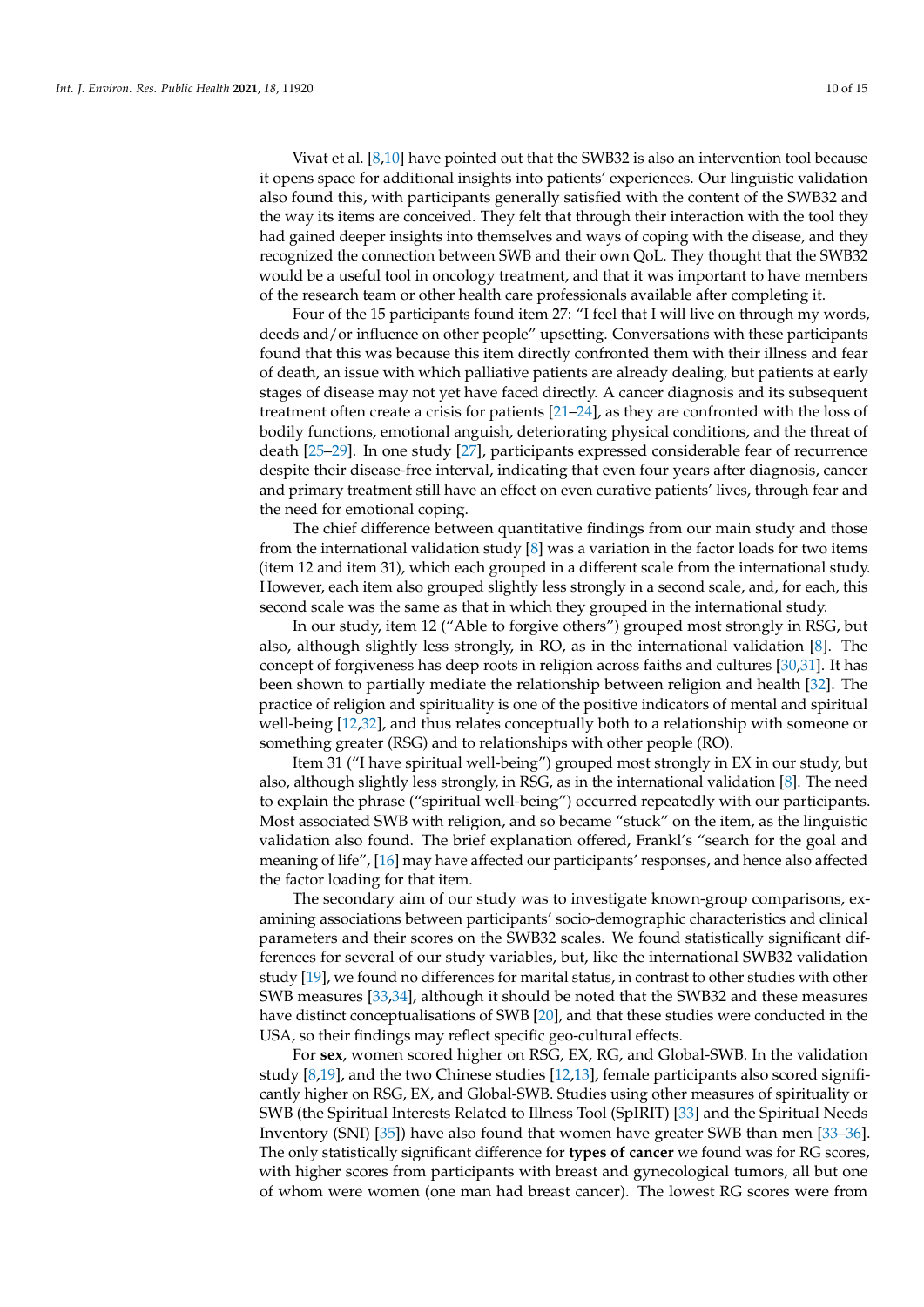Vivat et al. [\[8,](#page-13-0)[10\]](#page-13-2) have pointed out that the SWB32 is also an intervention tool because it opens space for additional insights into patients' experiences. Our linguistic validation also found this, with participants generally satisfied with the content of the SWB32 and the way its items are conceived. They felt that through their interaction with the tool they had gained deeper insights into themselves and ways of coping with the disease, and they recognized the connection between SWB and their own QoL. They thought that the SWB32 would be a useful tool in oncology treatment, and that it was important to have members of the research team or other health care professionals available after completing it.

Four of the 15 participants found item 27: "I feel that I will live on through my words, deeds and/or influence on other people" upsetting. Conversations with these participants found that this was because this item directly confronted them with their illness and fear of death, an issue with which palliative patients are already dealing, but patients at early stages of disease may not yet have faced directly. A cancer diagnosis and its subsequent treatment often create a crisis for patients [\[21–](#page-13-13)[24\]](#page-13-14), as they are confronted with the loss of bodily functions, emotional anguish, deteriorating physical conditions, and the threat of death [\[25–](#page-13-15)[29\]](#page-13-16). In one study [\[27\]](#page-13-17), participants expressed considerable fear of recurrence despite their disease-free interval, indicating that even four years after diagnosis, cancer and primary treatment still have an effect on even curative patients' lives, through fear and the need for emotional coping.

The chief difference between quantitative findings from our main study and those from the international validation study [\[8\]](#page-13-0) was a variation in the factor loads for two items (item 12 and item 31), which each grouped in a different scale from the international study. However, each item also grouped slightly less strongly in a second scale, and, for each, this second scale was the same as that in which they grouped in the international study.

In our study, item 12 ("Able to forgive others") grouped most strongly in RSG, but also, although slightly less strongly, in RO, as in the international validation [\[8\]](#page-13-0). The concept of forgiveness has deep roots in religion across faiths and cultures [\[30](#page-13-18)[,31\]](#page-13-19). It has been shown to partially mediate the relationship between religion and health [\[32\]](#page-13-20). The practice of religion and spirituality is one of the positive indicators of mental and spiritual well-being [\[12](#page-13-4)[,32\]](#page-13-20), and thus relates conceptually both to a relationship with someone or something greater (RSG) and to relationships with other people (RO).

Item 31 ("I have spiritual well-being") grouped most strongly in EX in our study, but also, although slightly less strongly, in RSG, as in the international validation [\[8\]](#page-13-0). The need to explain the phrase ("spiritual well-being") occurred repeatedly with our participants. Most associated SWB with religion, and so became "stuck" on the item, as the linguistic validation also found. The brief explanation offered, Frankl's "search for the goal and meaning of life", [\[16\]](#page-13-8) may have affected our participants' responses, and hence also affected the factor loading for that item.

The secondary aim of our study was to investigate known-group comparisons, examining associations between participants' socio-demographic characteristics and clinical parameters and their scores on the SWB32 scales. We found statistically significant differences for several of our study variables, but, like the international SWB32 validation study [\[19\]](#page-13-11), we found no differences for marital status, in contrast to other studies with other SWB measures [\[33,](#page-13-21)[34\]](#page-13-22), although it should be noted that the SWB32 and these measures have distinct conceptualisations of SWB [\[20\]](#page-13-12), and that these studies were conducted in the USA, so their findings may reflect specific geo-cultural effects.

For **sex**, women scored higher on RSG, EX, RG, and Global-SWB. In the validation study [\[8](#page-13-0)[,19\]](#page-13-11), and the two Chinese studies [\[12,](#page-13-4)[13\]](#page-13-5), female participants also scored significantly higher on RSG, EX, and Global-SWB. Studies using other measures of spirituality or SWB (the Spiritual Interests Related to Illness Tool (SpIRIT) [\[33\]](#page-13-21) and the Spiritual Needs Inventory (SNI) [\[35\]](#page-13-23)) have also found that women have greater SWB than men [\[33](#page-13-21)[–36\]](#page-14-0). The only statistically significant difference for **types of cancer** we found was for RG scores, with higher scores from participants with breast and gynecological tumors, all but one of whom were women (one man had breast cancer). The lowest RG scores were from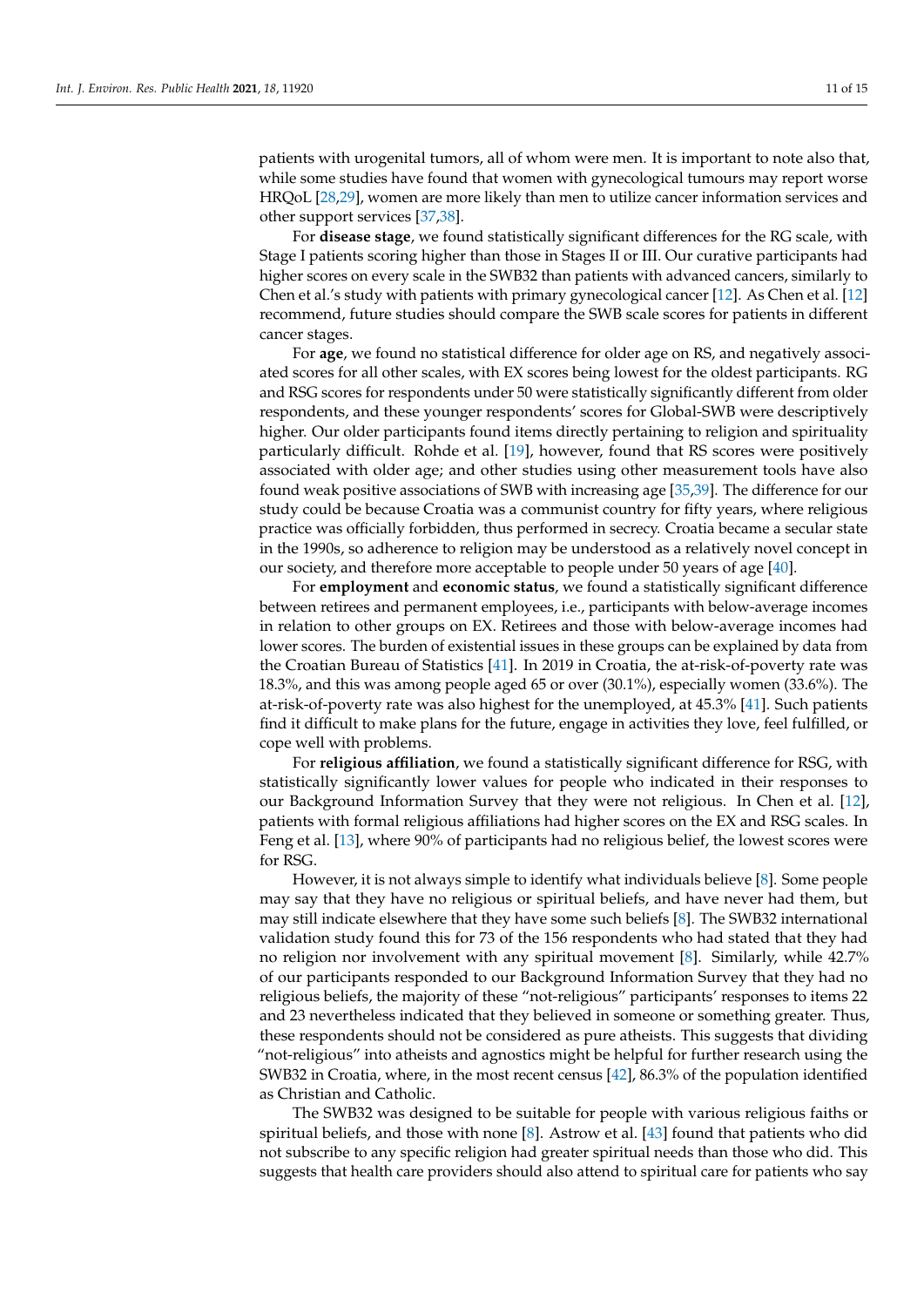patients with urogenital tumors, all of whom were men. It is important to note also that, while some studies have found that women with gynecological tumours may report worse HRQoL [\[28](#page-13-24)[,29\]](#page-13-16), women are more likely than men to utilize cancer information services and other support services [\[37](#page-14-1)[,38\]](#page-14-2).

For **disease stage**, we found statistically significant differences for the RG scale, with Stage I patients scoring higher than those in Stages II or III. Our curative participants had higher scores on every scale in the SWB32 than patients with advanced cancers, similarly to Chen et al.'s study with patients with primary gynecological cancer [\[12\]](#page-13-4). As Chen et al. [\[12\]](#page-13-4) recommend, future studies should compare the SWB scale scores for patients in different cancer stages.

For **age**, we found no statistical difference for older age on RS, and negatively associated scores for all other scales, with EX scores being lowest for the oldest participants. RG and RSG scores for respondents under 50 were statistically significantly different from older respondents, and these younger respondents' scores for Global-SWB were descriptively higher. Our older participants found items directly pertaining to religion and spirituality particularly difficult. Rohde et al. [\[19\]](#page-13-11), however, found that RS scores were positively associated with older age; and other studies using other measurement tools have also found weak positive associations of SWB with increasing age [\[35](#page-13-23)[,39\]](#page-14-3). The difference for our study could be because Croatia was a communist country for fifty years, where religious practice was officially forbidden, thus performed in secrecy. Croatia became a secular state in the 1990s, so adherence to religion may be understood as a relatively novel concept in our society, and therefore more acceptable to people under 50 years of age [\[40\]](#page-14-4).

For **employment** and **economic status**, we found a statistically significant difference between retirees and permanent employees, i.e., participants with below-average incomes in relation to other groups on EX. Retirees and those with below-average incomes had lower scores. The burden of existential issues in these groups can be explained by data from the Croatian Bureau of Statistics [\[41\]](#page-14-5). In 2019 in Croatia, the at-risk-of-poverty rate was 18.3%, and this was among people aged 65 or over (30.1%), especially women (33.6%). The at-risk-of-poverty rate was also highest for the unemployed, at 45.3% [\[41\]](#page-14-5). Such patients find it difficult to make plans for the future, engage in activities they love, feel fulfilled, or cope well with problems.

For **religious affiliation**, we found a statistically significant difference for RSG, with statistically significantly lower values for people who indicated in their responses to our Background Information Survey that they were not religious. In Chen et al. [\[12\]](#page-13-4), patients with formal religious affiliations had higher scores on the EX and RSG scales. In Feng et al. [\[13\]](#page-13-5), where 90% of participants had no religious belief, the lowest scores were for RSG.

However, it is not always simple to identify what individuals believe [\[8\]](#page-13-0). Some people may say that they have no religious or spiritual beliefs, and have never had them, but may still indicate elsewhere that they have some such beliefs [\[8\]](#page-13-0). The SWB32 international validation study found this for 73 of the 156 respondents who had stated that they had no religion nor involvement with any spiritual movement [\[8\]](#page-13-0). Similarly, while 42.7% of our participants responded to our Background Information Survey that they had no religious beliefs, the majority of these "not-religious" participants' responses to items 22 and 23 nevertheless indicated that they believed in someone or something greater. Thus, these respondents should not be considered as pure atheists. This suggests that dividing "not-religious" into atheists and agnostics might be helpful for further research using the SWB32 in Croatia, where, in the most recent census [\[42\]](#page-14-6), 86.3% of the population identified as Christian and Catholic.

The SWB32 was designed to be suitable for people with various religious faiths or spiritual beliefs, and those with none [\[8\]](#page-13-0). Astrow et al. [\[43\]](#page-14-7) found that patients who did not subscribe to any specific religion had greater spiritual needs than those who did. This suggests that health care providers should also attend to spiritual care for patients who say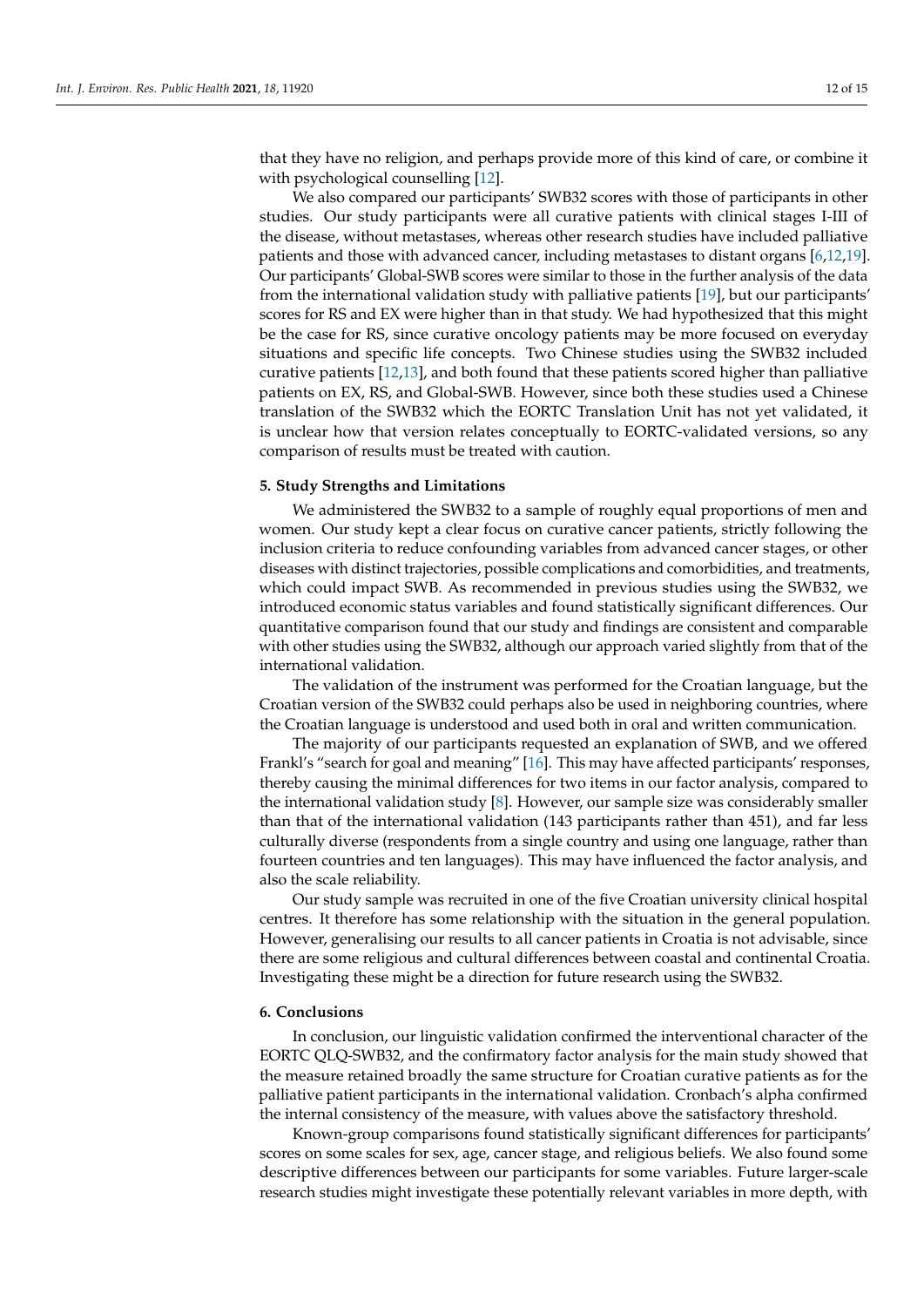that they have no religion, and perhaps provide more of this kind of care, or combine it with psychological counselling [\[12\]](#page-13-4).

We also compared our participants' SWB32 scores with those of participants in other studies. Our study participants were all curative patients with clinical stages I-III of the disease, without metastases, whereas other research studies have included palliative patients and those with advanced cancer, including metastases to distant organs [\[6,](#page-12-5)[12](#page-13-4)[,19\]](#page-13-11). Our participants' Global-SWB scores were similar to those in the further analysis of the data from the international validation study with palliative patients [\[19\]](#page-13-11), but our participants' scores for RS and EX were higher than in that study. We had hypothesized that this might be the case for RS, since curative oncology patients may be more focused on everyday situations and specific life concepts. Two Chinese studies using the SWB32 included curative patients [\[12,](#page-13-4)[13\]](#page-13-5), and both found that these patients scored higher than palliative patients on EX, RS, and Global-SWB. However, since both these studies used a Chinese translation of the SWB32 which the EORTC Translation Unit has not yet validated, it is unclear how that version relates conceptually to EORTC-validated versions, so any comparison of results must be treated with caution.

## **5. Study Strengths and Limitations**

We administered the SWB32 to a sample of roughly equal proportions of men and women. Our study kept a clear focus on curative cancer patients, strictly following the inclusion criteria to reduce confounding variables from advanced cancer stages, or other diseases with distinct trajectories, possible complications and comorbidities, and treatments, which could impact SWB. As recommended in previous studies using the SWB32, we introduced economic status variables and found statistically significant differences. Our quantitative comparison found that our study and findings are consistent and comparable with other studies using the SWB32, although our approach varied slightly from that of the international validation.

The validation of the instrument was performed for the Croatian language, but the Croatian version of the SWB32 could perhaps also be used in neighboring countries, where the Croatian language is understood and used both in oral and written communication.

The majority of our participants requested an explanation of SWB, and we offered Frankl's "search for goal and meaning" [\[16\]](#page-13-8). This may have affected participants' responses, thereby causing the minimal differences for two items in our factor analysis, compared to the international validation study [\[8\]](#page-13-0). However, our sample size was considerably smaller than that of the international validation (143 participants rather than 451), and far less culturally diverse (respondents from a single country and using one language, rather than fourteen countries and ten languages). This may have influenced the factor analysis, and also the scale reliability.

Our study sample was recruited in one of the five Croatian university clinical hospital centres. It therefore has some relationship with the situation in the general population. However, generalising our results to all cancer patients in Croatia is not advisable, since there are some religious and cultural differences between coastal and continental Croatia. Investigating these might be a direction for future research using the SWB32.

# **6. Conclusions**

In conclusion, our linguistic validation confirmed the interventional character of the EORTC QLQ-SWB32, and the confirmatory factor analysis for the main study showed that the measure retained broadly the same structure for Croatian curative patients as for the palliative patient participants in the international validation. Cronbach's alpha confirmed the internal consistency of the measure, with values above the satisfactory threshold.

Known-group comparisons found statistically significant differences for participants' scores on some scales for sex, age, cancer stage, and religious beliefs. We also found some descriptive differences between our participants for some variables. Future larger-scale research studies might investigate these potentially relevant variables in more depth, with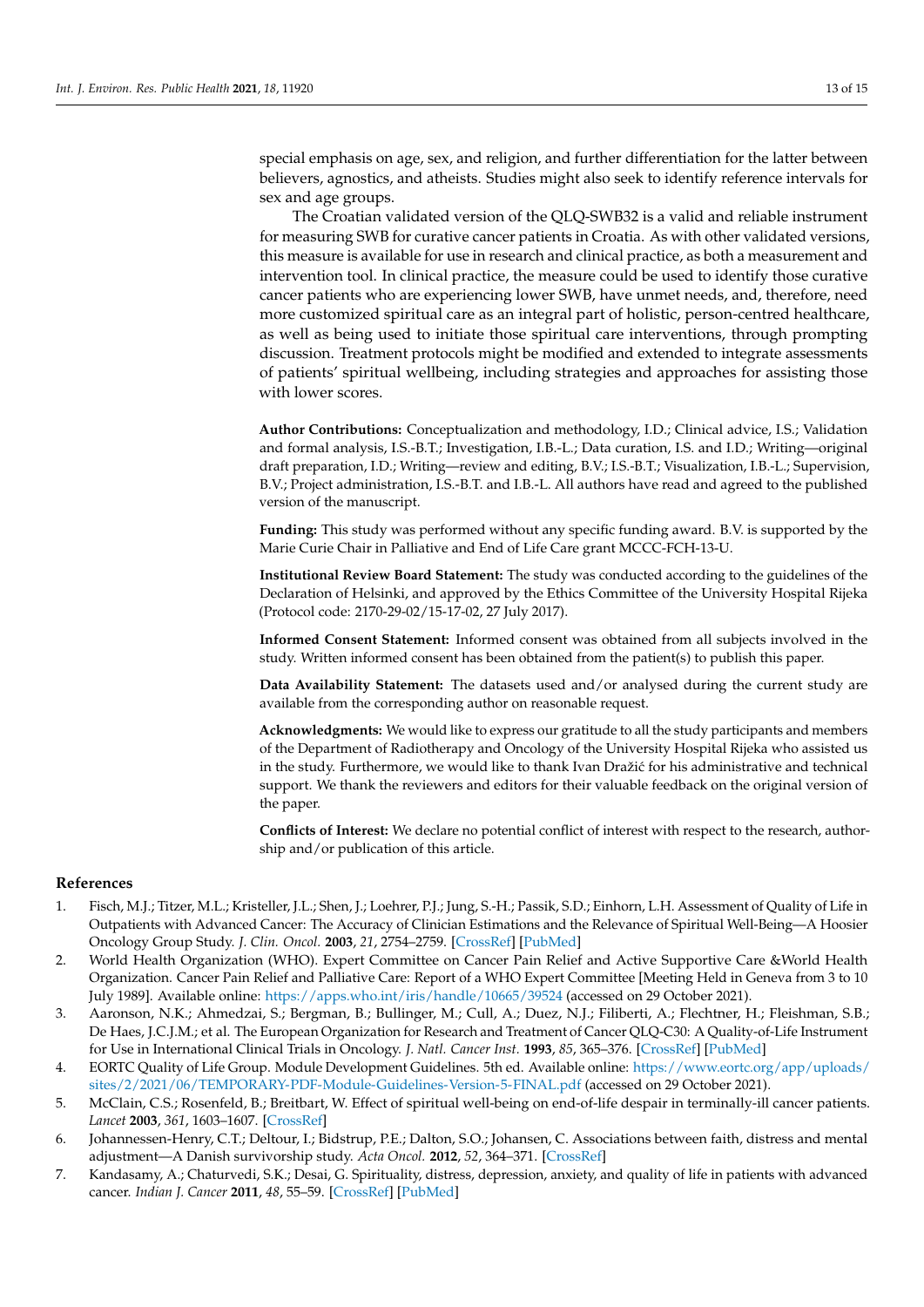special emphasis on age, sex, and religion, and further differentiation for the latter between believers, agnostics, and atheists. Studies might also seek to identify reference intervals for sex and age groups.

The Croatian validated version of the QLQ-SWB32 is a valid and reliable instrument for measuring SWB for curative cancer patients in Croatia. As with other validated versions, this measure is available for use in research and clinical practice, as both a measurement and intervention tool. In clinical practice, the measure could be used to identify those curative cancer patients who are experiencing lower SWB, have unmet needs, and, therefore, need more customized spiritual care as an integral part of holistic, person-centred healthcare, as well as being used to initiate those spiritual care interventions, through prompting discussion. Treatment protocols might be modified and extended to integrate assessments of patients' spiritual wellbeing, including strategies and approaches for assisting those with lower scores.

**Author Contributions:** Conceptualization and methodology, I.D.; Clinical advice, I.S.; Validation and formal analysis, I.S.-B.T.; Investigation, I.B.-L.; Data curation, I.S. and I.D.; Writing—original draft preparation, I.D.; Writing—review and editing, B.V.; I.S.-B.T.; Visualization, I.B.-L.; Supervision, B.V.; Project administration, I.S.-B.T. and I.B.-L. All authors have read and agreed to the published version of the manuscript.

**Funding:** This study was performed without any specific funding award. B.V. is supported by the Marie Curie Chair in Palliative and End of Life Care grant MCCC-FCH-13-U.

**Institutional Review Board Statement:** The study was conducted according to the guidelines of the Declaration of Helsinki, and approved by the Ethics Committee of the University Hospital Rijeka (Protocol code: 2170-29-02/15-17-02, 27 July 2017).

**Informed Consent Statement:** Informed consent was obtained from all subjects involved in the study. Written informed consent has been obtained from the patient(s) to publish this paper.

**Data Availability Statement:** The datasets used and/or analysed during the current study are available from the corresponding author on reasonable request.

**Acknowledgments:** We would like to express our gratitude to all the study participants and members of the Department of Radiotherapy and Oncology of the University Hospital Rijeka who assisted us in the study. Furthermore, we would like to thank Ivan Dražić for his administrative and technical support. We thank the reviewers and editors for their valuable feedback on the original version of the paper.

**Conflicts of Interest:** We declare no potential conflict of interest with respect to the research, authorship and/or publication of this article.

#### **References**

- <span id="page-12-0"></span>1. Fisch, M.J.; Titzer, M.L.; Kristeller, J.L.; Shen, J.; Loehrer, P.J.; Jung, S.-H.; Passik, S.D.; Einhorn, L.H. Assessment of Quality of Life in Outpatients with Advanced Cancer: The Accuracy of Clinician Estimations and the Relevance of Spiritual Well-Being—A Hoosier Oncology Group Study. *J. Clin. Oncol.* **2003**, *21*, 2754–2759. [\[CrossRef\]](http://doi.org/10.1200/JCO.2003.06.093) [\[PubMed\]](http://www.ncbi.nlm.nih.gov/pubmed/12860955)
- <span id="page-12-1"></span>2. World Health Organization (WHO). Expert Committee on Cancer Pain Relief and Active Supportive Care &World Health Organization. Cancer Pain Relief and Palliative Care: Report of a WHO Expert Committee [Meeting Held in Geneva from 3 to 10 July 1989]. Available online: <https://apps.who.int/iris/handle/10665/39524> (accessed on 29 October 2021).
- <span id="page-12-2"></span>3. Aaronson, N.K.; Ahmedzai, S.; Bergman, B.; Bullinger, M.; Cull, A.; Duez, N.J.; Filiberti, A.; Flechtner, H.; Fleishman, S.B.; De Haes, J.C.J.M.; et al. The European Organization for Research and Treatment of Cancer QLQ-C30: A Quality-of-Life Instrument for Use in International Clinical Trials in Oncology. *J. Natl. Cancer Inst.* **1993**, *85*, 365–376. [\[CrossRef\]](http://doi.org/10.1093/jnci/85.5.365) [\[PubMed\]](http://www.ncbi.nlm.nih.gov/pubmed/8433390)
- <span id="page-12-3"></span>4. EORTC Quality of Life Group. Module Development Guidelines. 5th ed. Available online: [https://www.eortc.org/app/uploads/](https://www.eortc.org/app/uploads/sites/2/2021/06/TEMPORARY-PDF-Module-Guidelines-Version-5-FINAL.pdf) [sites/2/2021/06/TEMPORARY-PDF-Module-Guidelines-Version-5-FINAL.pdf](https://www.eortc.org/app/uploads/sites/2/2021/06/TEMPORARY-PDF-Module-Guidelines-Version-5-FINAL.pdf) (accessed on 29 October 2021).
- <span id="page-12-4"></span>5. McClain, C.S.; Rosenfeld, B.; Breitbart, W. Effect of spiritual well-being on end-of-life despair in terminally-ill cancer patients. *Lancet* **2003**, *361*, 1603–1607. [\[CrossRef\]](http://doi.org/10.1016/S0140-6736(03)13310-7)
- <span id="page-12-5"></span>6. Johannessen-Henry, C.T.; Deltour, I.; Bidstrup, P.E.; Dalton, S.O.; Johansen, C. Associations between faith, distress and mental adjustment—A Danish survivorship study. *Acta Oncol.* **2012**, *52*, 364–371. [\[CrossRef\]](http://doi.org/10.3109/0284186X.2012.744141)
- <span id="page-12-6"></span>7. Kandasamy, A.; Chaturvedi, S.K.; Desai, G. Spirituality, distress, depression, anxiety, and quality of life in patients with advanced cancer. *Indian J. Cancer* **2011**, *48*, 55–59. [\[CrossRef\]](http://doi.org/10.4103/0019-509X.75828) [\[PubMed\]](http://www.ncbi.nlm.nih.gov/pubmed/21248445)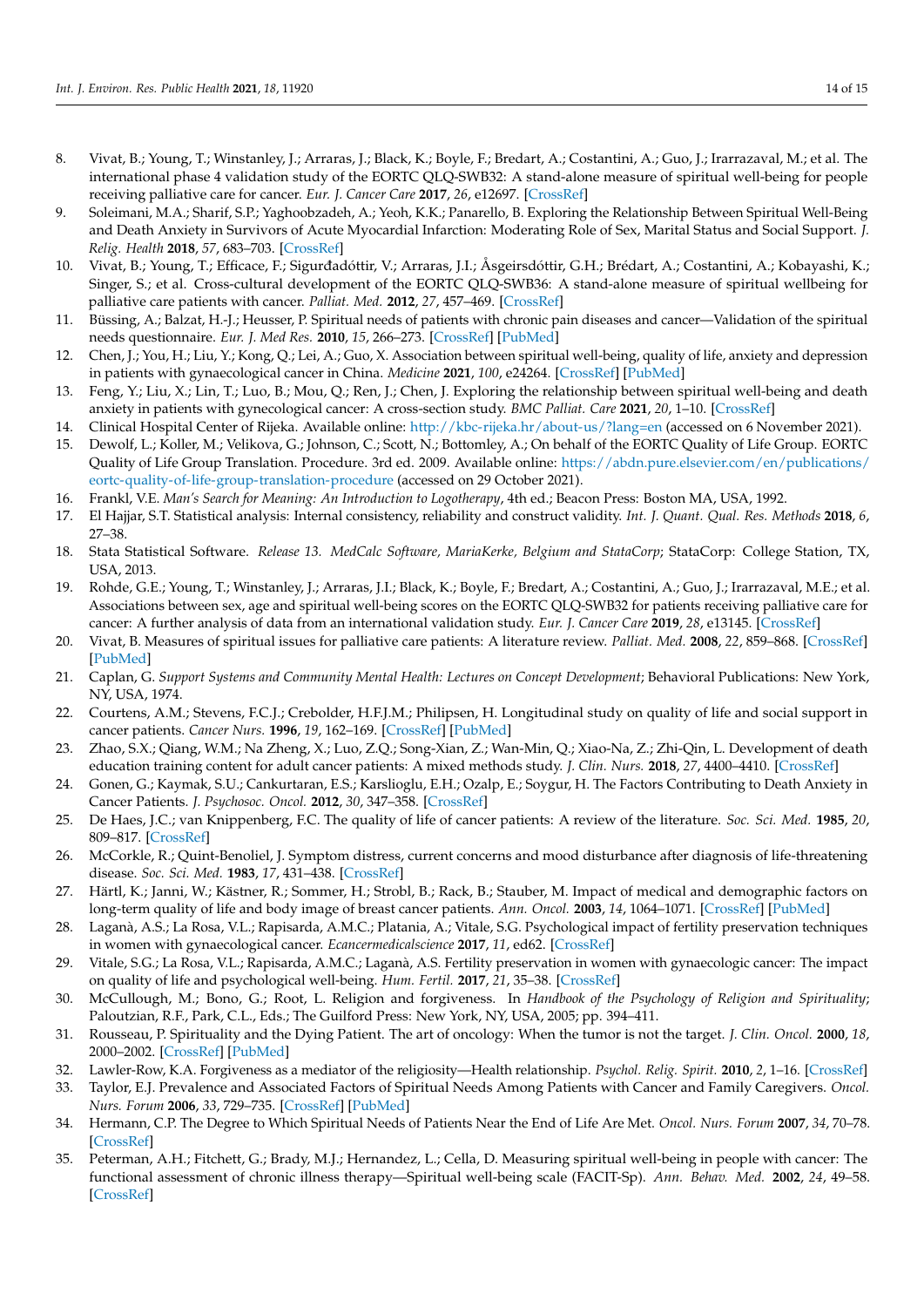- <span id="page-13-0"></span>8. Vivat, B.; Young, T.; Winstanley, J.; Arraras, J.; Black, K.; Boyle, F.; Bredart, A.; Costantini, A.; Guo, J.; Irarrazaval, M.; et al. The international phase 4 validation study of the EORTC QLQ-SWB32: A stand-alone measure of spiritual well-being for people receiving palliative care for cancer. *Eur. J. Cancer Care* **2017**, *26*, e12697. [\[CrossRef\]](http://doi.org/10.1111/ecc.12697)
- <span id="page-13-1"></span>9. Soleimani, M.A.; Sharif, S.P.; Yaghoobzadeh, A.; Yeoh, K.K.; Panarello, B. Exploring the Relationship Between Spiritual Well-Being and Death Anxiety in Survivors of Acute Myocardial Infarction: Moderating Role of Sex, Marital Status and Social Support. *J. Relig. Health* **2018**, *57*, 683–703. [\[CrossRef\]](http://doi.org/10.1007/s10943-017-0554-2)
- <span id="page-13-2"></span>10. Vivat, B.; Young, T.; Efficace, F.; Sigurdadóttir, V.; Arraras, J.I.; Åsgeirsdóttir, G.H.; Brédart, A.; Costantini, A.; Kobayashi, K.; Singer, S.; et al. Cross-cultural development of the EORTC QLQ-SWB36: A stand-alone measure of spiritual wellbeing for palliative care patients with cancer. *Palliat. Med.* **2012**, *27*, 457–469. [\[CrossRef\]](http://doi.org/10.1177/0269216312451950)
- <span id="page-13-3"></span>11. Büssing, A.; Balzat, H.-J.; Heusser, P. Spiritual needs of patients with chronic pain diseases and cancer—Validation of the spiritual needs questionnaire. *Eur. J. Med Res.* **2010**, *15*, 266–273. [\[CrossRef\]](http://doi.org/10.1186/2047-783X-15-6-266) [\[PubMed\]](http://www.ncbi.nlm.nih.gov/pubmed/20696636)
- <span id="page-13-4"></span>12. Chen, J.; You, H.; Liu, Y.; Kong, Q.; Lei, A.; Guo, X. Association between spiritual well-being, quality of life, anxiety and depression in patients with gynaecological cancer in China. *Medicine* **2021**, *100*, e24264. [\[CrossRef\]](http://doi.org/10.1097/MD.0000000000024264) [\[PubMed\]](http://www.ncbi.nlm.nih.gov/pubmed/33429835)
- <span id="page-13-5"></span>13. Feng, Y.; Liu, X.; Lin, T.; Luo, B.; Mou, Q.; Ren, J.; Chen, J. Exploring the relationship between spiritual well-being and death anxiety in patients with gynecological cancer: A cross-section study. *BMC Palliat. Care* **2021**, *20*, 1–10. [\[CrossRef\]](http://doi.org/10.1186/s12904-021-00778-3)
- <span id="page-13-6"></span>14. Clinical Hospital Center of Rijeka. Available online: <http://kbc-rijeka.hr/about-us/?lang=en> (accessed on 6 November 2021).
- <span id="page-13-7"></span>15. Dewolf, L.; Koller, M.; Velikova, G.; Johnson, C.; Scott, N.; Bottomley, A.; On behalf of the EORTC Quality of Life Group. EORTC Quality of Life Group Translation. Procedure. 3rd ed. 2009. Available online: [https://abdn.pure.elsevier.com/en/publications/](https://abdn.pure.elsevier.com/en/publications/eortc-quality-of-life-group-translation-procedure) [eortc-quality-of-life-group-translation-procedure](https://abdn.pure.elsevier.com/en/publications/eortc-quality-of-life-group-translation-procedure) (accessed on 29 October 2021).
- <span id="page-13-8"></span>16. Frankl, V.E. *Man's Search for Meaning: An Introduction to Logotherapy*, 4th ed.; Beacon Press: Boston MA, USA, 1992.
- <span id="page-13-9"></span>17. El Hajjar, S.T. Statistical analysis: Internal consistency, reliability and construct validity. *Int. J. Quant. Qual. Res. Methods* **2018**, *6*, 27–38.
- <span id="page-13-10"></span>18. Stata Statistical Software. *Release 13. MedCalc Software, MariaKerke, Belgium and StataCorp*; StataCorp: College Station, TX, USA, 2013.
- <span id="page-13-11"></span>19. Rohde, G.E.; Young, T.; Winstanley, J.; Arraras, J.I.; Black, K.; Boyle, F.; Bredart, A.; Costantini, A.; Guo, J.; Irarrazaval, M.E.; et al. Associations between sex, age and spiritual well-being scores on the EORTC QLQ-SWB32 for patients receiving palliative care for cancer: A further analysis of data from an international validation study. *Eur. J. Cancer Care* **2019**, *28*, e13145. [\[CrossRef\]](http://doi.org/10.1111/ecc.13145)
- <span id="page-13-12"></span>20. Vivat, B. Measures of spiritual issues for palliative care patients: A literature review. *Palliat. Med.* **2008**, *22*, 859–868. [\[CrossRef\]](http://doi.org/10.1177/0269216308095990) [\[PubMed\]](http://www.ncbi.nlm.nih.gov/pubmed/18755826)
- <span id="page-13-13"></span>21. Caplan, G. *Support Systems and Community Mental Health: Lectures on Concept Development*; Behavioral Publications: New York, NY, USA, 1974.
- 22. Courtens, A.M.; Stevens, F.C.J.; Crebolder, H.F.J.M.; Philipsen, H. Longitudinal study on quality of life and social support in cancer patients. *Cancer Nurs.* **1996**, *19*, 162–169. [\[CrossRef\]](http://doi.org/10.1097/00002820-199606000-00002) [\[PubMed\]](http://www.ncbi.nlm.nih.gov/pubmed/8674024)
- 23. Zhao, S.X.; Qiang, W.M.; Na Zheng, X.; Luo, Z.Q.; Song-Xian, Z.; Wan-Min, Q.; Xiao-Na, Z.; Zhi-Qin, L. Development of death education training content for adult cancer patients: A mixed methods study. *J. Clin. Nurs.* **2018**, *27*, 4400–4410. [\[CrossRef\]](http://doi.org/10.1111/jocn.14595)
- <span id="page-13-14"></span>24. Gonen, G.; Kaymak, S.U.; Cankurtaran, E.S.; Karslioglu, E.H.; Ozalp, E.; Soygur, H. The Factors Contributing to Death Anxiety in Cancer Patients. *J. Psychosoc. Oncol.* **2012**, *30*, 347–358. [\[CrossRef\]](http://doi.org/10.1080/07347332.2012.664260)
- <span id="page-13-15"></span>25. De Haes, J.C.; van Knippenberg, F.C. The quality of life of cancer patients: A review of the literature. *Soc. Sci. Med.* **1985**, *20*, 809–817. [\[CrossRef\]](http://doi.org/10.1016/0277-9536(85)90335-1)
- 26. McCorkle, R.; Quint-Benoliel, J. Symptom distress, current concerns and mood disturbance after diagnosis of life-threatening disease. *Soc. Sci. Med.* **1983**, *17*, 431–438. [\[CrossRef\]](http://doi.org/10.1016/0277-9536(83)90348-9)
- <span id="page-13-17"></span>27. Härtl, K.; Janni, W.; Kästner, R.; Sommer, H.; Strobl, B.; Rack, B.; Stauber, M. Impact of medical and demographic factors on long-term quality of life and body image of breast cancer patients. *Ann. Oncol.* **2003**, *14*, 1064–1071. [\[CrossRef\]](http://doi.org/10.1093/annonc/mdg289) [\[PubMed\]](http://www.ncbi.nlm.nih.gov/pubmed/12853348)
- <span id="page-13-24"></span>28. Laganà, A.S.; La Rosa, V.L.; Rapisarda, A.M.C.; Platania, A.; Vitale, S.G. Psychological impact of fertility preservation techniques in women with gynaecological cancer. *Ecancermedicalscience* **2017**, *11*, ed62. [\[CrossRef\]](http://doi.org/10.3332/ecancer.2017.ed62)
- <span id="page-13-16"></span>29. Vitale, S.G.; La Rosa, V.L.; Rapisarda, A.M.C.; Laganà, A.S. Fertility preservation in women with gynaecologic cancer: The impact on quality of life and psychological well-being. *Hum. Fertil.* **2017**, *21*, 35–38. [\[CrossRef\]](http://doi.org/10.1080/14647273.2017.1339365)
- <span id="page-13-18"></span>30. McCullough, M.; Bono, G.; Root, L. Religion and forgiveness. In *Handbook of the Psychology of Religion and Spirituality*; Paloutzian, R.F., Park, C.L., Eds.; The Guilford Press: New York, NY, USA, 2005; pp. 394–411.
- <span id="page-13-19"></span>31. Rousseau, P. Spirituality and the Dying Patient. The art of oncology: When the tumor is not the target. *J. Clin. Oncol.* **2000**, *18*, 2000–2002. [\[CrossRef\]](http://doi.org/10.1200/JCO.2000.18.9.2000) [\[PubMed\]](http://www.ncbi.nlm.nih.gov/pubmed/10784643)
- <span id="page-13-20"></span>32. Lawler-Row, K.A. Forgiveness as a mediator of the religiosity—Health relationship. *Psychol. Relig. Spirit.* **2010**, *2*, 1–16. [\[CrossRef\]](http://doi.org/10.1037/a0017584)
- <span id="page-13-21"></span>33. Taylor, E.J. Prevalence and Associated Factors of Spiritual Needs Among Patients with Cancer and Family Caregivers. *Oncol. Nurs. Forum* **2006**, *33*, 729–735. [\[CrossRef\]](http://doi.org/10.1188/06.ONF.729-735) [\[PubMed\]](http://www.ncbi.nlm.nih.gov/pubmed/16858453)
- <span id="page-13-22"></span>34. Hermann, C.P. The Degree to Which Spiritual Needs of Patients Near the End of Life Are Met. *Oncol. Nurs. Forum* **2007**, *34*, 70–78. [\[CrossRef\]](http://doi.org/10.1188/07.ONF.70-78)
- <span id="page-13-23"></span>35. Peterman, A.H.; Fitchett, G.; Brady, M.J.; Hernandez, L.; Cella, D. Measuring spiritual well-being in people with cancer: The functional assessment of chronic illness therapy—Spiritual well-being scale (FACIT-Sp). *Ann. Behav. Med.* **2002**, *24*, 49–58. [\[CrossRef\]](http://doi.org/10.1207/S15324796ABM2401_06)